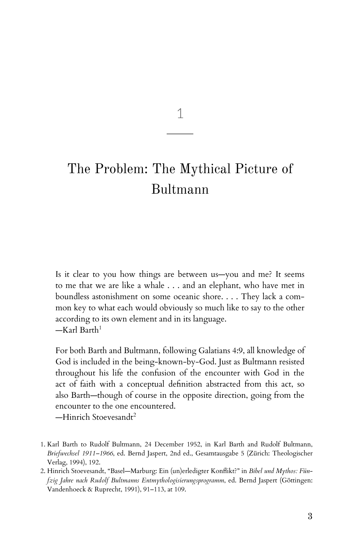1

# The Problem: The Mythical Picture of Bultmann

Is it clear to you how things are between us—you and me? It seems to me that we are like a whale . . . and an elephant, who have met in boundless astonishment on some oceanic shore. . . . They lack a common key to what each would obviously so much like to say to the other according to its own element and in its language.  $-K$ arl Barth<sup>1</sup>

For both Barth and Bultmann, following Galatians 4:9, all knowledge of God is included in the being-known-by-God. Just as Bultmann resisted throughout his life the confusion of the encounter with God in the act of faith with a conceptual definition abstracted from this act, so also Barth—though of course in the opposite direction, going from the encounter to the one encountered.

—Hinrich Stoevesandt<sup>2</sup>

<sup>1.</sup> Karl Barth to Rudolf Bultmann, 24 December 1952, in Karl Barth and Rudolf Bultmann, *Briefwechsel 1911–1966*, ed. Bernd Jaspert, 2nd ed., Gesamtausgabe 5 (Zürich: Theologischer Verlag, 1994), 192.

<sup>2.</sup> Hinrich Stoevesandt, "Basel—Marburg: Ein (un)erledigter Konflikt?" in *Bibel und Mythos: Fünfzig Jahre nach Rudolf Bultmanns Entmythologisierungsprogramm*, ed. Bernd Jaspert (Göttingen: Vandenhoeck & Ruprecht, 1991), 91–113, at 109.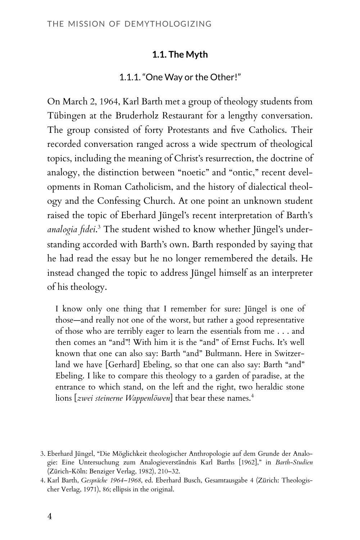#### **1.1. The Myth**

#### 1.1.1. "One Way or the Other!"

On March 2, 1964, Karl Barth met a group of theology students from Tübingen at the Bruderholz Restaurant for a lengthy conversation. The group consisted of forty Protestants and five Catholics. Their recorded conversation ranged across a wide spectrum of theological topics, including the meaning of Christ's resurrection, the doctrine of analogy, the distinction between "noetic" and "ontic," recent developments in Roman Catholicism, and the history of dialectical theology and the Confessing Church. At one point an unknown student raised the topic of Eberhard Jüngel's recent interpretation of Barth's *analogia fidei*. <sup>3</sup> The student wished to know whether Jüngel's understanding accorded with Barth's own. Barth responded by saying that he had read the essay but he no longer remembered the details. He instead changed the topic to address Jüngel himself as an interpreter of his theology.

I know only one thing that I remember for sure: Jüngel is one of those—and really not one of the worst, but rather a good representative of those who are terribly eager to learn the essentials from me . . . and then comes an "and"! With him it is the "and" of Ernst Fuchs. It's well known that one can also say: Barth "and" Bultmann. Here in Switzerland we have [Gerhard] Ebeling, so that one can also say: Barth "and" Ebeling. I like to compare this theology to a garden of paradise, at the entrance to which stand, on the left and the right, two heraldic stone lions [*zwei steinerne Wappenlöwen*] that bear these names.<sup>4</sup>

<sup>3.</sup> Eberhard Jüngel, "Die Möglichkeit theologischer Anthropologie auf dem Grunde der Analogie: Eine Untersuchung zum Analogieverständnis Karl Barths [1962]," in *Barth-Studien* (Zürich-Köln: Benziger Verlag, 1982), 210–32.

<sup>4.</sup> Karl Barth, *Gespräche 1964–1968*, ed. Eberhard Busch, Gesamtausgabe 4 (Zürich: Theologischer Verlag, 1971), 86; ellipsis in the original.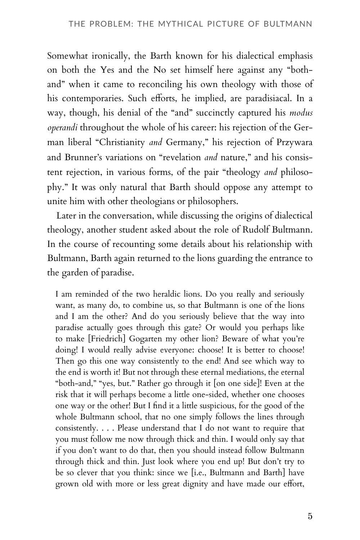Somewhat ironically, the Barth known for his dialectical emphasis on both the Yes and the No set himself here against any "bothand" when it came to reconciling his own theology with those of his contemporaries. Such efforts, he implied, are paradisiacal. In a way, though, his denial of the "and" succinctly captured his *modus operandi* throughout the whole of his career: his rejection of the German liberal "Christianity *and* Germany," his rejection of Przywara and Brunner's variations on "revelation *and* nature," and his consistent rejection, in various forms, of the pair "theology *and* philosophy." It was only natural that Barth should oppose any attempt to unite him with other theologians or philosophers.

Later in the conversation, while discussing the origins of dialectical theology, another student asked about the role of Rudolf Bultmann. In the course of recounting some details about his relationship with Bultmann, Barth again returned to the lions guarding the entrance to the garden of paradise.

I am reminded of the two heraldic lions. Do you really and seriously want, as many do, to combine us, so that Bultmann is one of the lions and I am the other? And do you seriously believe that the way into paradise actually goes through this gate? Or would you perhaps like to make [Friedrich] Gogarten my other lion? Beware of what you're doing! I would really advise everyone: choose! It is better to choose! Then go this one way consistently to the end! And see which way to the end is worth it! But not through these eternal mediations, the eternal "both-and," "yes, but." Rather go through it [on one side]! Even at the risk that it will perhaps become a little one-sided, whether one chooses one way or the other! But I find it a little suspicious, for the good of the whole Bultmann school, that no one simply follows the lines through consistently. . . . Please understand that I do not want to require that you must follow me now through thick and thin. I would only say that if you don't want to do that, then you should instead follow Bultmann through thick and thin. Just look where you end up! But don't try to be so clever that you think: since we [i.e., Bultmann and Barth] have grown old with more or less great dignity and have made our effort,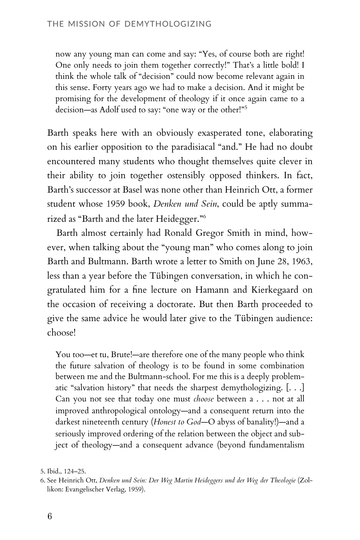now any young man can come and say: "Yes, of course both are right! One only needs to join them together correctly!" That's a little bold! I think the whole talk of "decision" could now become relevant again in this sense. Forty years ago we had to make a decision. And it might be promising for the development of theology if it once again came to a decision—as Adolf used to say: "one way or the other!"<sup>5</sup>

Barth speaks here with an obviously exasperated tone, elaborating on his earlier opposition to the paradisiacal "and." He had no doubt encountered many students who thought themselves quite clever in their ability to join together ostensibly opposed thinkers. In fact, Barth's successor at Basel was none other than Heinrich Ott, a former student whose 1959 book, *Denken und Sein*, could be aptly summarized as "Barth and the later Heidegger."<sup>6</sup>

Barth almost certainly had Ronald Gregor Smith in mind, however, when talking about the "young man" who comes along to join Barth and Bultmann. Barth wrote a letter to Smith on June 28, 1963, less than a year before the Tübingen conversation, in which he congratulated him for a fine lecture on Hamann and Kierkegaard on the occasion of receiving a doctorate. But then Barth proceeded to give the same advice he would later give to the Tübingen audience: choose!

You too—et tu, Brute!—are therefore one of the many people who think the future salvation of theology is to be found in some combination between me and the Bultmann-school. For me this is a deeply problematic "salvation history" that needs the sharpest demythologizing. [. . .] Can you not see that today one must *choose* between a . . . not at all improved anthropological ontology—and a consequent return into the darkest nineteenth century (*Honest to God*—O abyss of banality!)—and a seriously improved ordering of the relation between the object and subject of theology—and a consequent advance (beyond fundamentalism

5. Ibid., 124–25.

<sup>6.</sup> See Heinrich Ott, *Denken und Sein: Der Weg Martin Heideggers und der Weg der Theologie* (Zollikon: Evangelischer Verlag, 1959).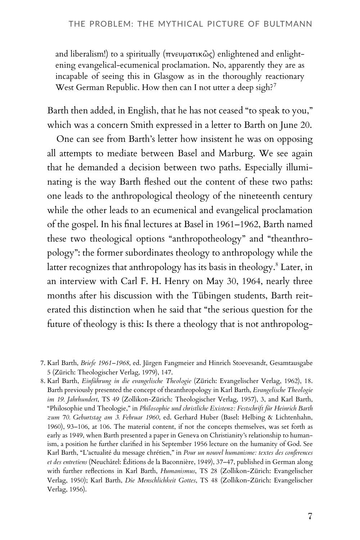and liberalism!) to a spiritually (πνευματικῶς) enlightened and enlightening evangelical-ecumenical proclamation. No, apparently they are as incapable of seeing this in Glasgow as in the thoroughly reactionary West German Republic. How then can I not utter a deep sigh?<sup>7</sup>

Barth then added, in English, that he has not ceased "to speak to you," which was a concern Smith expressed in a letter to Barth on June 20.

One can see from Barth's letter how insistent he was on opposing all attempts to mediate between Basel and Marburg. We see again that he demanded a decision between two paths. Especially illuminating is the way Barth fleshed out the content of these two paths: one leads to the anthropological theology of the nineteenth century while the other leads to an ecumenical and evangelical proclamation of the gospel. In his final lectures at Basel in 1961–1962, Barth named these two theological options "anthropotheology" and "theanthropology": the former subordinates theology to anthropology while the latter recognizes that anthropology has its basis in theology.<sup>8</sup> Later, in an interview with Carl F. H. Henry on May 30, 1964, nearly three months after his discussion with the Tübingen students, Barth reiterated this distinction when he said that "the serious question for the future of theology is this: Is there a theology that is not anthropolog-

8. Karl Barth, *Einführung in die evangelische Theologie* (Zürich: Evangelischer Verlag, 1962), 18. Barth previously presented the concept of theanthropology in Karl Barth, *Evangelische Theologie im 19. Jahrhundert*, TS 49 (Zollikon-Zürich: Theologischer Verlag, 1957), 3, and Karl Barth, "Philosophie und Theologie," in *Philosophie und christliche Existenz: Festschrift für Heinrich Barth zum 70. Geburtstag am 3. Februar 1960*, ed. Gerhard Huber (Basel: Helbing & Lichtenhahn, 1960), 93–106, at 106. The material content, if not the concepts themselves, was set forth as early as 1949, when Barth presented a paper in Geneva on Christianity's relationship to humanism, a position he further clarified in his September 1956 lecture on the humanity of God. See Karl Barth, "L'actualitédu message chrétien," in *Pour un nouvel humanisme: textes des conférences et des entretiens* (Neuchâtel: Éditions de la Baconnière, 1949), 37–47, published in German along with further reflections in Karl Barth, *Humanismus*, TS 28 (Zollikon-Zürich: Evangelischer Verlag, 1950); Karl Barth, *Die Menschlichkeit Gottes*, TS 48 (Zollikon-Zürich: Evangelischer Verlag, 1956).

<sup>7.</sup> Karl Barth, *Briefe 1961–1968*, ed. Jürgen Fangmeier and Hinrich Stoevesandt, Gesamtausgabe 5 (Zürich: Theologischer Verlag, 1979), 147.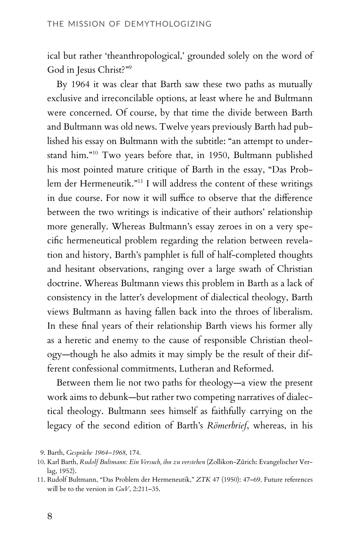ical but rather 'theanthropological,' grounded solely on the word of God in Jesus Christ?"<sup>9</sup>

By 1964 it was clear that Barth saw these two paths as mutually exclusive and irreconcilable options, at least where he and Bultmann were concerned. Of course, by that time the divide between Barth and Bultmann was old news. Twelve years previously Barth had published his essay on Bultmann with the subtitle: "an attempt to understand him."<sup>10</sup> Two years before that, in 1950, Bultmann published his most pointed mature critique of Barth in the essay, "Das Problem der Hermeneutik."<sup>11</sup> I will address the content of these writings in due course. For now it will suffice to observe that the difference between the two writings is indicative of their authors' relationship more generally. Whereas Bultmann's essay zeroes in on a very specific hermeneutical problem regarding the relation between revelation and history, Barth's pamphlet is full of half-completed thoughts and hesitant observations, ranging over a large swath of Christian doctrine. Whereas Bultmann views this problem in Barth as a lack of consistency in the latter's development of dialectical theology, Barth views Bultmann as having fallen back into the throes of liberalism. In these final years of their relationship Barth views his former ally as a heretic and enemy to the cause of responsible Christian theology—though he also admits it may simply be the result of their different confessional commitments, Lutheran and Reformed.

Between them lie not two paths for theology—a view the present work aims to debunk—but rather two competing narratives of dialectical theology. Bultmann sees himself as faithfully carrying on the legacy of the second edition of Barth's *Römerbrief*, whereas, in his

<sup>9.</sup> Barth, *Gespräche 1964–1968*, 174.

<sup>10.</sup> Karl Barth, *Rudolf Bultmann: Ein Versuch, ihn zu verstehen* (Zollikon-Zürich: Evangelischer Verlag, 1952).

<sup>11.</sup> Rudolf Bultmann, "Das Problem der Hermeneutik," *ZTK* 47 (1950): 47–69. Future references will be to the version in *GuV*, 2:211–35.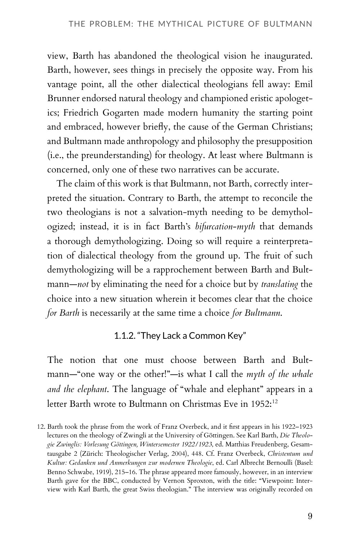view, Barth has abandoned the theological vision he inaugurated. Barth, however, sees things in precisely the opposite way. From his vantage point, all the other dialectical theologians fell away: Emil Brunner endorsed natural theology and championed eristic apologetics; Friedrich Gogarten made modern humanity the starting point and embraced, however briefly, the cause of the German Christians; and Bultmann made anthropology and philosophy the presupposition (i.e., the preunderstanding) for theology. At least where Bultmann is concerned, only one of these two narratives can be accurate.

The claim of this work is that Bultmann, not Barth, correctly interpreted the situation. Contrary to Barth, the attempt to reconcile the two theologians is not a salvation-myth needing to be demythologized; instead, it is in fact Barth's *bifurcation-myth* that demands a thorough demythologizing. Doing so will require a reinterpretation of dialectical theology from the ground up. The fruit of such demythologizing will be a rapprochement between Barth and Bultmann—*not* by eliminating the need for a choice but by *translating* the choice into a new situation wherein it becomes clear that the choice *for Barth* is necessarily at the same time a choice *for Bultmann*.

#### 1.1.2. "They Lack a Common Key"

The notion that one must choose between Barth and Bultmann—"one way or the other!"—is what I call the *myth of the whale and the elephant*. The language of "whale and elephant" appears in a letter Barth wrote to Bultmann on Christmas Eve in 1952:<sup>12</sup>

<sup>12.</sup> Barth took the phrase from the work of Franz Overbeck, and it first appears in his 1922–1923 lectures on the theology of Zwingli at the University of Göttingen. See Karl Barth, *Die Theologie Zwinglis: Vorlesung Göttingen, Wintersemester 1922/1923*, ed. Matthias Freudenberg, Gesamtausgabe 2 (Zürich: Theologischer Verlag, 2004), 448. Cf. Franz Overbeck, *Christentum und Kultur: Gedanken und Anmerkungen zur modernen Theologie*, ed. Carl Albrecht Bernoulli (Basel: Benno Schwabe, 1919), 215–16. The phrase appeared more famously, however, in an interview Barth gave for the BBC, conducted by Vernon Sproxton, with the title: "Viewpoint: Interview with Karl Barth, the great Swiss theologian." The interview was originally recorded on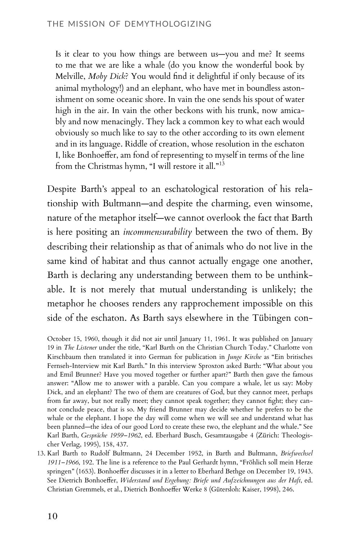Is it clear to you how things are between us—you and me? It seems to me that we are like a whale (do you know the wonderful book by Melville, *Moby Dick*? You would find it delightful if only because of its animal mythology!) and an elephant, who have met in boundless astonishment on some oceanic shore. In vain the one sends his spout of water high in the air. In vain the other beckons with his trunk, now amicably and now menacingly. They lack a common key to what each would obviously so much like to say to the other according to its own element and in its language. Riddle of creation, whose resolution in the eschaton I, like Bonhoeffer, am fond of representing to myself in terms of the line from the Christmas hymn, "I will restore it all."<sup>13</sup>

Despite Barth's appeal to an eschatological restoration of his relationship with Bultmann—and despite the charming, even winsome, nature of the metaphor itself—we cannot overlook the fact that Barth is here positing an *incommensurability* between the two of them. By describing their relationship as that of animals who do not live in the same kind of habitat and thus cannot actually engage one another, Barth is declaring any understanding between them to be unthinkable. It is not merely that mutual understanding is unlikely; the metaphor he chooses renders any rapprochement impossible on this side of the eschaton. As Barth says elsewhere in the Tübingen con-

October 15, 1960, though it did not air until January 11, 1961. It was published on January 19 in *The Listener* under the title, "Karl Barth on the Christian Church Today." Charlotte von Kirschbaum then translated it into German for publication in *Junge Kirche* as "Ein britisches Fernseh-Interview mit Karl Barth." In this interview Sproxton asked Barth: "What about you and Emil Brunner? Have you moved together or further apart?" Barth then gave the famous answer: "Allow me to answer with a parable. Can you compare a whale, let us say: Moby Dick, and an elephant? The two of them are creatures of God, but they cannot meet, perhaps from far away, but not really meet; they cannot speak together; they cannot fight; they cannot conclude peace, that is so. My friend Brunner may decide whether he prefers to be the whale or the elephant. I hope the day will come when we will see and understand what has been planned—the idea of our good Lord to create these two, the elephant and the whale." See Karl Barth, *Gespräche 1959–1962*, ed. Eberhard Busch, Gesamtausgabe 4 (Zürich: Theologischer Verlag, 1995), 158, 437.

13. Karl Barth to Rudolf Bultmann, 24 December 1952, in Barth and Bultmann, *Briefwechsel 1911–1966*, 192. The line is a reference to the Paul Gerhardt hymn, "Fröhlich soll mein Herze springen" (1653). Bonhoeffer discusses it in a letter to Eberhard Bethge on December 19, 1943. See Dietrich Bonhoeffer, *Widerstand und Ergebung: Briefe und Aufzeichnungen aus der Haft*, ed. Christian Gremmels, et al., Dietrich Bonhoeffer Werke 8 (Gütersloh: Kaiser, 1998), 246.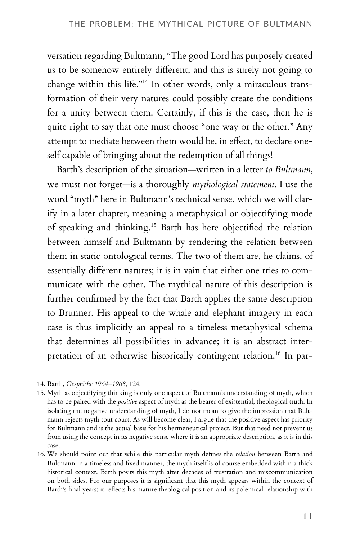versation regarding Bultmann, "The good Lord has purposely created us to be somehow entirely different, and this is surely not going to change within this life."<sup>14</sup> In other words, only a miraculous transformation of their very natures could possibly create the conditions for a unity between them. Certainly, if this is the case, then he is quite right to say that one must choose "one way or the other." Any attempt to mediate between them would be, in effect, to declare oneself capable of bringing about the redemption of all things!

Barth's description of the situation—written in a letter *to Bultmann*, we must not forget—is a thoroughly *mythological statement*. I use the word "myth" here in Bultmann's technical sense, which we will clarify in a later chapter, meaning a metaphysical or objectifying mode of speaking and thinking.<sup>15</sup> Barth has here objectified the relation between himself and Bultmann by rendering the relation between them in static ontological terms. The two of them are, he claims, of essentially different natures; it is in vain that either one tries to communicate with the other. The mythical nature of this description is further confirmed by the fact that Barth applies the same description to Brunner. His appeal to the whale and elephant imagery in each case is thus implicitly an appeal to a timeless metaphysical schema that determines all possibilities in advance; it is an abstract interpretation of an otherwise historically contingent relation.<sup>16</sup> In par-

16. We should point out that while this particular myth defines the *relation* between Barth and Bultmann in a timeless and fixed manner, the myth itself is of course embedded within a thick historical context. Barth posits this myth after decades of frustration and miscommunication on both sides. For our purposes it is significant that this myth appears within the context of Barth's final years; it reflects his mature theological position and its polemical relationship with

<sup>14.</sup> Barth, *Gespräche 1964–1968*, 124.

<sup>15.</sup> Myth as objectifying thinking is only one aspect of Bultmann's understanding of myth, which has to be paired with the *positive* aspect of myth as the bearer of existential, theological truth. In isolating the negative understanding of myth, I do not mean to give the impression that Bultmann rejects myth tout court. As will become clear, I argue that the positive aspect has priority for Bultmann and is the actual basis for his hermeneutical project. But that need not prevent us from using the concept in its negative sense where it is an appropriate description, as it is in this case.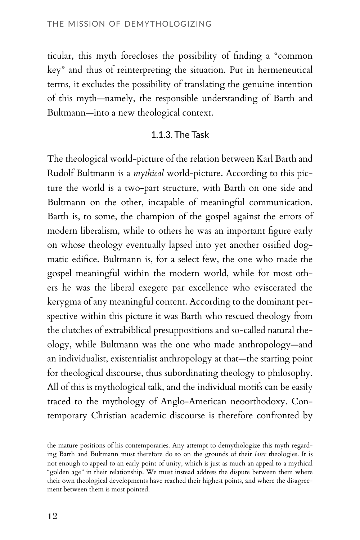ticular, this myth forecloses the possibility of finding a "common key" and thus of reinterpreting the situation. Put in hermeneutical terms, it excludes the possibility of translating the genuine intention of this myth—namely, the responsible understanding of Barth and Bultmann—into a new theological context.

#### 1.1.3. The Task

The theological world-picture of the relation between Karl Barth and Rudolf Bultmann is a *mythical* world-picture. According to this picture the world is a two-part structure, with Barth on one side and Bultmann on the other, incapable of meaningful communication. Barth is, to some, the champion of the gospel against the errors of modern liberalism, while to others he was an important figure early on whose theology eventually lapsed into yet another ossified dogmatic edifice. Bultmann is, for a select few, the one who made the gospel meaningful within the modern world, while for most others he was the liberal exegete par excellence who eviscerated the kerygma of any meaningful content. According to the dominant perspective within this picture it was Barth who rescued theology from the clutches of extrabiblical presuppositions and so-called natural theology, while Bultmann was the one who made anthropology—and an individualist, existentialist anthropology at that—the starting point for theological discourse, thus subordinating theology to philosophy. All of this is mythological talk, and the individual motifs can be easily traced to the mythology of Anglo-American neoorthodoxy. Contemporary Christian academic discourse is therefore confronted by

the mature positions of his contemporaries. Any attempt to demythologize this myth regarding Barth and Bultmann must therefore do so on the grounds of their *later* theologies. It is not enough to appeal to an early point of unity, which is just as much an appeal to a mythical "golden age" in their relationship. We must instead address the dispute between them where their own theological developments have reached their highest points, and where the disagreement between them is most pointed.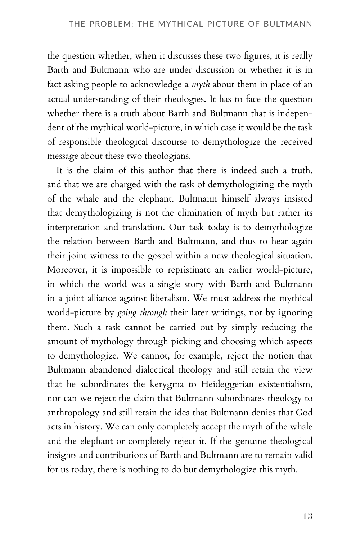the question whether, when it discusses these two figures, it is really Barth and Bultmann who are under discussion or whether it is in fact asking people to acknowledge a *myth* about them in place of an actual understanding of their theologies. It has to face the question whether there is a truth about Barth and Bultmann that is independent of the mythical world-picture, in which case it would be the task of responsible theological discourse to demythologize the received message about these two theologians.

It is the claim of this author that there is indeed such a truth, and that we are charged with the task of demythologizing the myth of the whale and the elephant. Bultmann himself always insisted that demythologizing is not the elimination of myth but rather its interpretation and translation. Our task today is to demythologize the relation between Barth and Bultmann, and thus to hear again their joint witness to the gospel within a new theological situation. Moreover, it is impossible to repristinate an earlier world-picture, in which the world was a single story with Barth and Bultmann in a joint alliance against liberalism. We must address the mythical world-picture by *going through* their later writings, not by ignoring them. Such a task cannot be carried out by simply reducing the amount of mythology through picking and choosing which aspects to demythologize. We cannot, for example, reject the notion that Bultmann abandoned dialectical theology and still retain the view that he subordinates the kerygma to Heideggerian existentialism, nor can we reject the claim that Bultmann subordinates theology to anthropology and still retain the idea that Bultmann denies that God acts in history. We can only completely accept the myth of the whale and the elephant or completely reject it. If the genuine theological insights and contributions of Barth and Bultmann are to remain valid for us today, there is nothing to do but demythologize this myth.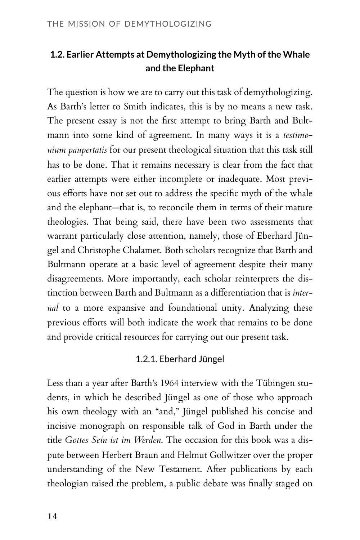# **1.2. Earlier Attempts at Demythologizing the Myth of the Whale and the Elephant**

The question is how we are to carry out this task of demythologizing. As Barth's letter to Smith indicates, this is by no means a new task. The present essay is not the first attempt to bring Barth and Bultmann into some kind of agreement. In many ways it is a *testimonium paupertatis* for our present theological situation that this task still has to be done. That it remains necessary is clear from the fact that earlier attempts were either incomplete or inadequate. Most previous efforts have not set out to address the specific myth of the whale and the elephant—that is, to reconcile them in terms of their mature theologies. That being said, there have been two assessments that warrant particularly close attention, namely, those of Eberhard Jüngel and Christophe Chalamet. Both scholars recognize that Barth and Bultmann operate at a basic level of agreement despite their many disagreements. More importantly, each scholar reinterprets the distinction between Barth and Bultmann as a differentiation that is *internal* to a more expansive and foundational unity. Analyzing these previous efforts will both indicate the work that remains to be done and provide critical resources for carrying out our present task.

# 1.2.1. Eberhard Jüngel

Less than a year after Barth's 1964 interview with the Tübingen students, in which he described Jüngel as one of those who approach his own theology with an "and," Jüngel published his concise and incisive monograph on responsible talk of God in Barth under the title *Gottes Sein ist im Werden*. The occasion for this book was a dispute between Herbert Braun and Helmut Gollwitzer over the proper understanding of the New Testament. After publications by each theologian raised the problem, a public debate was finally staged on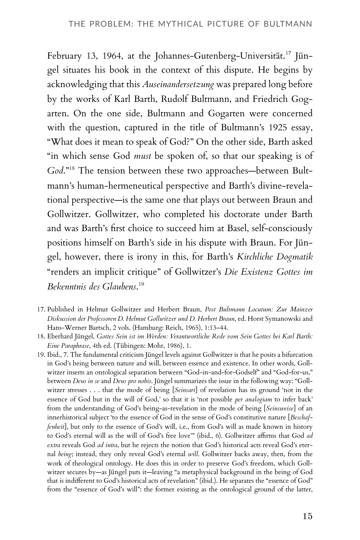February 13, 1964, at the Johannes-Gutenberg-Universität.<sup>17</sup> Jüngel situates his book in the context of this dispute. He begins by acknowledging that this *Auseinandersetzung* was prepared long before by the works of Karl Barth, Rudolf Bultmann, and Friedrich Gogarten. On the one side, Bultmann and Gogarten were concerned with the question, captured in the title of Bultmann's 1925 essay, "What does it mean to speak of God?" On the other side, Barth asked "in which sense God *must* be spoken of, so that our speaking is of *God*."<sup>18</sup> The tension between these two approaches—between Bultmann's human-hermeneutical perspective and Barth's divine-revelational perspective—is the same one that plays out between Braun and Gollwitzer. Gollwitzer, who completed his doctorate under Barth and was Barth's first choice to succeed him at Basel, self-consciously positions himself on Barth's side in his dispute with Braun. For Jüngel, however, there is irony in this, for Barth's *Kirchliche Dogmatik* "renders an implicit critique" of Gollwitzer's *Die Existenz Gottes im Bekenntnis des Glaubens*. 19

- 17. Published in Helmut Gollwitzer and Herbert Braun, *Post Bultmann Locutum: Zur Mainzer Diskussion der Professoren D. Helmut Gollwitzer und D. Herbert Braun*, ed. Horst Symanowski and Hans-Werner Bartsch, 2 vols. (Hamburg: Reich, 1965), 1:13–44.
- 18. Eberhard Jüngel, *Gottes Sein ist im Werden: Verantwortliche Rede vom Sein Gottes bei Karl Barth: Eine Paraphrase*, 4th ed. (Tübingen: Mohr, 1986), 1.
- 19. Ibid., 7. The fundamental criticism Jüngel levels against Gollwitzer is that he posits a bifurcation in God's being between nature and will, between essence and existence. In other words, Gollwitzer inserts an ontological separation between "God-in-and-for-Godself" and "God-for-us," between *Deus in se* and *Deus pro nobis*. Jüngel summarizes the issue in the following way: "Gollwitzer stresses . . . that the mode of being [*Seinsart*] of revelation has its ground 'not in the essence of God but in the will of God,' so that it is 'not possible *per analogiam* to infer back' from the understanding of God's being-as-revelation in the mode of being [*Seinsweise*] of an innerhistorical subject 'to the essence of God in the sense of God's constitutive nature [*Beschaffenheit*], but only to the essence of God's will, i.e., from God's will as made known in history to God's eternal will as the will of God's free love'" (ibid., 6). Gollwitzer affirms that God *ad extra* reveals God *ad intra*, but he rejects the notion that God's historical acts reveal God's eternal *being*; instead, they only reveal God's eternal *will*. Gollwitzer backs away, then, from the work of theological ontology. He does this in order to preserve God's freedom, which Gollwitzer secures by—as Jüngel puts it—leaving "a metaphysical background in the being of God that is indifferent to God's historical acts of revelation" (ibid.). He separates the "essence of God" from the "essence of God's will": the former existing as the ontological ground of the latter,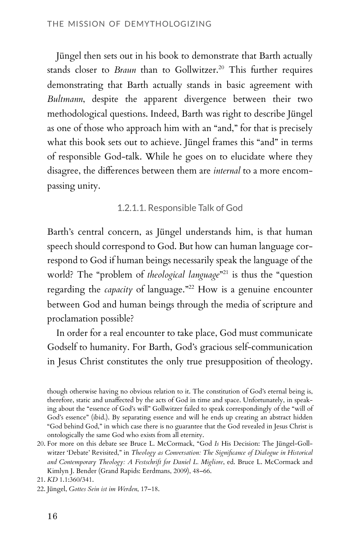Jüngel then sets out in his book to demonstrate that Barth actually stands closer to *Braun* than to Gollwitzer.<sup>20</sup> This further requires demonstrating that Barth actually stands in basic agreement with *Bultmann*, despite the apparent divergence between their two methodological questions. Indeed, Barth was right to describe Jüngel as one of those who approach him with an "and," for that is precisely what this book sets out to achieve. Jüngel frames this "and" in terms of responsible God-talk. While he goes on to elucidate where they disagree, the differences between them are *internal* to a more encompassing unity.

#### 1.2.1.1. Responsible Talk of God

Barth's central concern, as Jüngel understands him, is that human speech should correspond to God. But how can human language correspond to God if human beings necessarily speak the language of the world? The "problem of *theological language*" <sup>21</sup> is thus the "question regarding the *capacity* of language."<sup>22</sup> How is a genuine encounter between God and human beings through the media of scripture and proclamation possible?

In order for a real encounter to take place, God must communicate Godself to humanity. For Barth, God's gracious self-communication in Jesus Christ constitutes the only true presupposition of theology.

though otherwise having no obvious relation to it. The constitution of God's eternal being is, therefore, static and unaffected by the acts of God in time and space. Unfortunately, in speaking about the "essence of God's will" Gollwitzer failed to speak correspondingly of the "will of God's essence" (ibid.). By separating essence and will he ends up creating an abstract hidden "God behind God," in which case there is no guarantee that the God revealed in Jesus Christ is ontologically the same God who exists from all eternity.

<sup>20.</sup> For more on this debate see Bruce L. McCormack, "God *Is* His Decision: The Jüngel-Gollwitzer 'Debate' Revisited," in *Theology as Conversation: The Significance of Dialogue in Historical and Contemporary Theology: A Festschrift for Daniel L. Migliore*, ed. Bruce L. McCormack and Kimlyn J. Bender (Grand Rapids: Eerdmans, 2009), 48–66.

<sup>21.</sup> *KD* 1.1:360/341.

<sup>22.</sup> Jüngel, *Gottes Sein ist im Werden*, 17–18.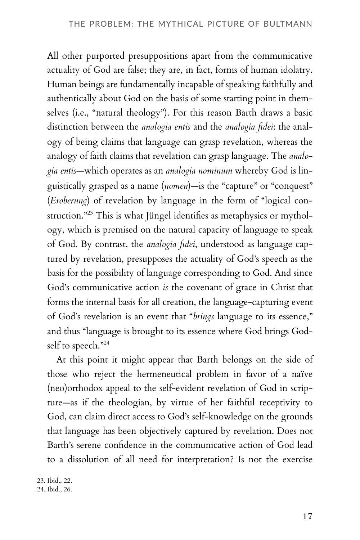All other purported presuppositions apart from the communicative actuality of God are false; they are, in fact, forms of human idolatry. Human beings are fundamentally incapable of speaking faithfully and authentically about God on the basis of some starting point in themselves (i.e., "natural theology"). For this reason Barth draws a basic distinction between the *analogia entis* and the *analogia fidei*: the analogy of being claims that language can grasp revelation, whereas the analogy of faith claims that revelation can grasp language. The *analogia entis*—which operates as an *analogia nominum* whereby God is linguistically grasped as a name (*nomen*)—is the "capture" or "conquest" (*Eroberung*) of revelation by language in the form of "logical construction."<sup>23</sup> This is what Jüngel identifies as metaphysics or mythology, which is premised on the natural capacity of language to speak of God. By contrast, the *analogia fidei*, understood as language captured by revelation, presupposes the actuality of God's speech as the basis for the possibility of language corresponding to God. And since God's communicative action *is* the covenant of grace in Christ that forms the internal basis for all creation, the language-capturing event of God's revelation is an event that "*brings* language to its essence," and thus "language is brought to its essence where God brings Godself to speech."<sup>24</sup>

At this point it might appear that Barth belongs on the side of those who reject the hermeneutical problem in favor of a naïve (neo)orthodox appeal to the self-evident revelation of God in scripture—as if the theologian, by virtue of her faithful receptivity to God, can claim direct access to God's self-knowledge on the grounds that language has been objectively captured by revelation. Does not Barth's serene confidence in the communicative action of God lead to a dissolution of all need for interpretation? Is not the exercise

23. Ibid., 22. 24. Ibid., 26.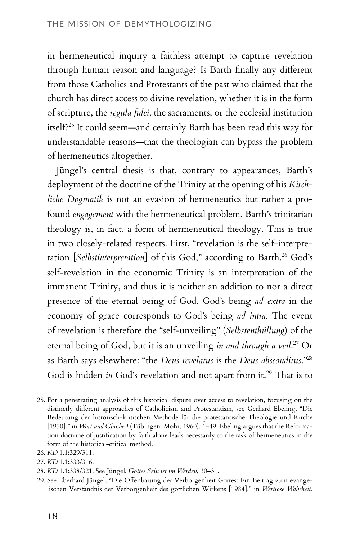in hermeneutical inquiry a faithless attempt to capture revelation through human reason and language? Is Barth finally any different from those Catholics and Protestants of the past who claimed that the church has direct access to divine revelation, whether it is in the form of scripture, the *regula fidei*, the sacraments, or the ecclesial institution itself?<sup>25</sup> It could seem—and certainly Barth has been read this way for understandable reasons—that the theologian can bypass the problem of hermeneutics altogether.

Jüngel's central thesis is that, contrary to appearances, Barth's deployment of the doctrine of the Trinity at the opening of his *Kirchliche Dogmatik* is not an evasion of hermeneutics but rather a profound *engagement* with the hermeneutical problem. Barth's trinitarian theology is, in fact, a form of hermeneutical theology. This is true in two closely-related respects. First, "revelation is the self-interpretation [*Selbstinterpretation*] of this God," according to Barth.<sup>26</sup> God's self-revelation in the economic Trinity is an interpretation of the immanent Trinity, and thus it is neither an addition to nor a direct presence of the eternal being of God. God's being *ad extra* in the economy of grace corresponds to God's being *ad intra*. The event of revelation is therefore the "self-unveiling" (*Selbstenthüllung*) of the eternal being of God, but it is an unveiling *in and through a veil*. <sup>27</sup> Or as Barth says elsewhere: "the *Deus revelatus* is the *Deus absconditus*."<sup>28</sup> God is hidden *in* God's revelation and not apart from it.<sup>29</sup> That is to

<sup>25.</sup> For a penetrating analysis of this historical dispute over access to revelation, focusing on the distinctly different approaches of Catholicism and Protestantism, see Gerhard Ebeling, "Die Bedeutung der historisch-kritischen Methode für die protestantische Theologie und Kirche [1950]," in *Wort und Glaube I* (Tübingen: Mohr, 1960), 1–49. Ebeling argues that the Reformation doctrine of justification by faith alone leads necessarily to the task of hermeneutics in the form of the historical-critical method.

<sup>26.</sup> *KD* 1.1:329/311.

<sup>27.</sup> *KD* 1.1:333/316.

<sup>28.</sup> *KD* 1.1:338/321. See Jüngel, *Gottes Sein ist im Werden*, 30–31.

<sup>29.</sup> See Eberhard Jüngel, "Die Offenbarung der Verborgenheit Gottes: Ein Beitrag zum evangelischen Verständnis der Verborgenheit des göttlichen Wirkens [1984]," in *Wertlose Wahrheit:*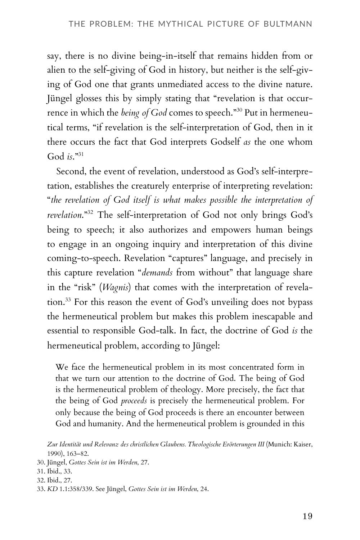say, there is no divine being-in-itself that remains hidden from or alien to the self-giving of God in history, but neither is the self-giving of God one that grants unmediated access to the divine nature. Jüngel glosses this by simply stating that "revelation is that occurrence in which the *being of God* comes to speech."<sup>30</sup> Put in hermeneutical terms, "if revelation is the self-interpretation of God, then in it there occurs the fact that God interprets Godself *as* the one whom God *is*."<sup>31</sup>

Second, the event of revelation, understood as God's self-interpretation, establishes the creaturely enterprise of interpreting revelation: "*the revelation of God itself is what makes possible the interpretation of revelation*."<sup>32</sup> The self-interpretation of God not only brings God's being to speech; it also authorizes and empowers human beings to engage in an ongoing inquiry and interpretation of this divine coming-to-speech. Revelation "captures" language, and precisely in this capture revelation "*demands* from without" that language share in the "risk" (*Wagnis*) that comes with the interpretation of revelation.<sup>33</sup> For this reason the event of God's unveiling does not bypass the hermeneutical problem but makes this problem inescapable and essential to responsible God-talk. In fact, the doctrine of God *is* the hermeneutical problem, according to Jüngel:

We face the hermeneutical problem in its most concentrated form in that we turn our attention to the doctrine of God. The being of God is the hermeneutical problem of theology. More precisely, the fact that the being of God *proceeds* is precisely the hermeneutical problem. For only because the being of God proceeds is there an encounter between God and humanity. And the hermeneutical problem is grounded in this

- 30. Jüngel, *Gottes Sein ist im Werden*, 27.
- 31. Ibid., 33.
- 32. Ibid., 27.

*Zur Identität und Relevanz des christlichen Glaubens. Theologische Erörterungen III* (Munich: Kaiser, 1990), 163–82.

<sup>33.</sup> *KD* 1.1:358/339. See Jüngel, *Gottes Sein ist im Werden*, 24.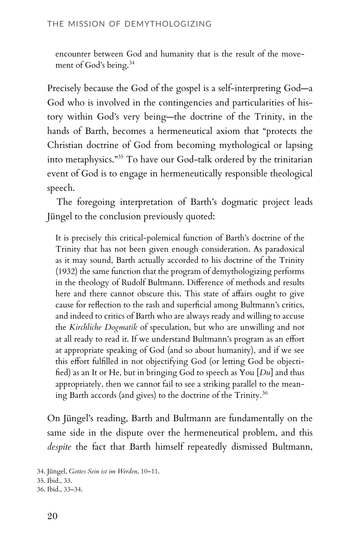encounter between God and humanity that is the result of the movement of God's being.<sup>34</sup>

Precisely because the God of the gospel is a self-interpreting God—a God who is involved in the contingencies and particularities of history within God's very being—the doctrine of the Trinity, in the hands of Barth, becomes a hermeneutical axiom that "protects the Christian doctrine of God from becoming mythological or lapsing into metaphysics."<sup>35</sup> To have our God-talk ordered by the trinitarian event of God is to engage in hermeneutically responsible theological speech.

The foregoing interpretation of Barth's dogmatic project leads Jüngel to the conclusion previously quoted:

It is precisely this critical-polemical function of Barth's doctrine of the Trinity that has not been given enough consideration. As paradoxical as it may sound, Barth actually accorded to his doctrine of the Trinity (1932) the same function that the program of demythologizing performs in the theology of Rudolf Bultmann. Difference of methods and results here and there cannot obscure this. This state of affairs ought to give cause for reflection to the rash and superficial among Bultmann's critics, and indeed to critics of Barth who are always ready and willing to accuse the *Kirchliche Dogmatik* of speculation, but who are unwilling and not at all ready to read it. If we understand Bultmann's program as an effort at appropriate speaking of God (and so about humanity), and if we see this effort fulfilled in not objectifying God (or letting God be objectified) as an It or He, but in bringing God to speech as You [*Du*] and thus appropriately, then we cannot fail to see a striking parallel to the meaning Barth accords (and gives) to the doctrine of the Trinity.<sup>36</sup>

On Jüngel's reading, Barth and Bultmann are fundamentally on the same side in the dispute over the hermeneutical problem, and this *despite* the fact that Barth himself repeatedly dismissed Bultmann,

34. Jüngel, *Gottes Sein ist im Werden*, 10–11. 35. Ibid., 33. 36. Ibid., 33–34.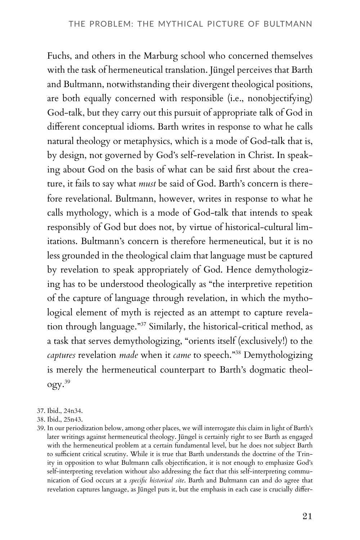Fuchs, and others in the Marburg school who concerned themselves with the task of hermeneutical translation. Jüngel perceives that Barth and Bultmann, notwithstanding their divergent theological positions, are both equally concerned with responsible (i.e., nonobjectifying) God-talk, but they carry out this pursuit of appropriate talk of God in different conceptual idioms. Barth writes in response to what he calls natural theology or metaphysics, which is a mode of God-talk that is, by design, not governed by God's self-revelation in Christ. In speaking about God on the basis of what can be said first about the creature, it fails to say what *must* be said of God. Barth's concern is therefore revelational. Bultmann, however, writes in response to what he calls mythology, which is a mode of God-talk that intends to speak responsibly of God but does not, by virtue of historical-cultural limitations. Bultmann's concern is therefore hermeneutical, but it is no less grounded in the theological claim that language must be captured by revelation to speak appropriately of God. Hence demythologizing has to be understood theologically as "the interpretive repetition of the capture of language through revelation, in which the mythological element of myth is rejected as an attempt to capture revelation through language."<sup>37</sup> Similarly, the historical-critical method, as a task that serves demythologizing, "orients itself (exclusively!) to the *captures* revelation *made* when it *came* to speech."<sup>38</sup> Demythologizing is merely the hermeneutical counterpart to Barth's dogmatic theology.<sup>39</sup>

37. Ibid., 24n34.

<sup>38.</sup> Ibid., 25n43.

<sup>39.</sup> In our periodization below, among other places, we will interrogate this claim in light of Barth's later writings against hermeneutical theology. Jüngel is certainly right to see Barth as engaged with the hermeneutical problem at a certain fundamental level, but he does not subject Barth to sufficient critical scrutiny. While it is true that Barth understands the doctrine of the Trinity in opposition to what Bultmann calls objectification, it is not enough to emphasize God's self-interpreting revelation without also addressing the fact that this self-interpreting communication of God occurs at a *specific historical site*. Barth and Bultmann can and do agree that revelation captures language, as Jüngel puts it, but the emphasis in each case is crucially differ-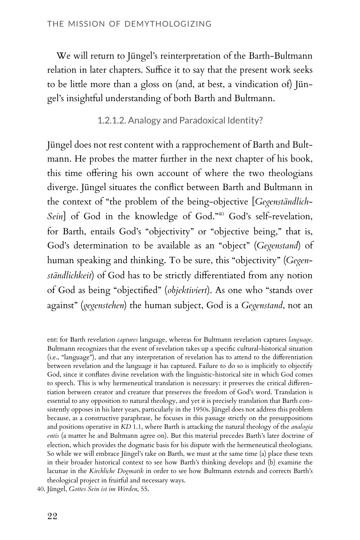We will return to Jüngel's reinterpretation of the Barth-Bultmann relation in later chapters. Suffice it to say that the present work seeks to be little more than a gloss on (and, at best, a vindication of) Jüngel's insightful understanding of both Barth and Bultmann.

## 1.2.1.2. Analogy and Paradoxical Identity?

Jüngel does not rest content with a rapprochement of Barth and Bultmann. He probes the matter further in the next chapter of his book, this time offering his own account of where the two theologians diverge. Jüngel situates the conflict between Barth and Bultmann in the context of "the problem of the being-objective [*Gegenständlich-*Sein] of God in the knowledge of God."<sup>40</sup> God's self-revelation, for Barth, entails God's "objectivity" or "objective being," that is, God's determination to be available as an "object" (*Gegenstand*) of human speaking and thinking. To be sure, this "objectivity" (*Gegenständlichkeit*) of God has to be strictly differentiated from any notion of God as being "objectified" (*objektiviert*). As one who "stands over against" (*gegenstehen*) the human subject, God is a *Gegenstand*, not an

ent: for Barth revelation *captures* language, whereas for Bultmann revelation captures *language*. Bultmann recognizes that the event of revelation takes up a specific cultural-historical situation (i.e., "language"), and that any interpretation of revelation has to attend to the differentiation between revelation and the language it has captured. Failure to do so is implicitly to objectify God, since it conflates divine revelation with the linguistic-historical site in which God comes to speech. This is why hermeneutical translation is necessary: it preserves the critical differentiation between creator and creature that preserves the freedom of God's word. Translation is essential to any opposition to natural theology, and yet it is precisely translation that Barth consistently opposes in his later years, particularly in the 1950s. Jüngel does not address this problem because, as a constructive paraphrase, he focuses in this passage strictly on the presuppositions and positions operative in *KD* 1.1, where Barth is attacking the natural theology of the *analogia entis* (a matter he and Bultmann agree on). But this material precedes Barth's later doctrine of election, which provides the dogmatic basis for his dispute with the hermeneutical theologians. So while we will embrace Jüngel's take on Barth, we must at the same time (a) place these texts in their broader historical context to see how Barth's thinking develops and (b) examine the lacunae in the *Kirchliche Dogmatik* in order to see how Bultmann extends and corrects Barth's theological project in fruitful and necessary ways.

<sup>40.</sup> Jüngel, *Gottes Sein ist im Werden*, 55.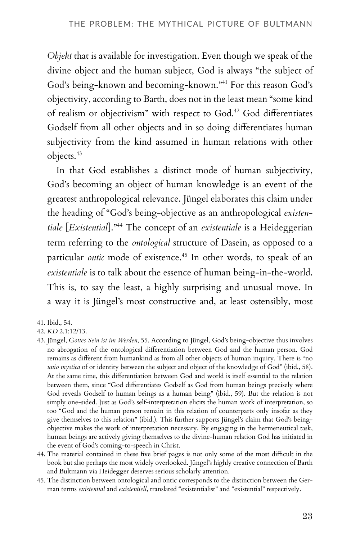*Objekt* that is available for investigation. Even though we speak of the divine object and the human subject, God is always "the subject of God's being-known and becoming-known."<sup>41</sup> For this reason God's objectivity, according to Barth, does not in the least mean "some kind of realism or objectivism" with respect to God.<sup>42</sup> God differentiates Godself from all other objects and in so doing differentiates human subjectivity from the kind assumed in human relations with other objects.<sup>43</sup>

In that God establishes a distinct mode of human subjectivity, God's becoming an object of human knowledge is an event of the greatest anthropological relevance. Jüngel elaborates this claim under the heading of "God's being-objective as an anthropological *existentiale* [*Existential*]."<sup>44</sup> The concept of an *existentiale* is a Heideggerian term referring to the *ontological* structure of Dasein, as opposed to a particular *ontic* mode of existence.<sup>45</sup> In other words, to speak of an *existentiale* is to talk about the essence of human being-in-the-world. This is, to say the least, a highly surprising and unusual move. In a way it is Jüngel's most constructive and, at least ostensibly, most

- 41. Ibid., 54.
- 42. *KD* 2.1:12/13.
- 43. Jüngel, *Gottes Sein ist im Werden*, 55. According to Jüngel, God's being-objective thus involves no abrogation of the ontological differentiation between God and the human person. God remains as different from humankind as from all other objects of human inquiry. There is "no *unio mystica* of or identity between the subject and object of the knowledge of God" (ibid., 58). At the same time, this differentiation between God and world is itself essential to the relation between them, since "God differentiates Godself as God from human beings precisely where God reveals Godself to human beings as a human being" (ibid., 59). But the relation is not simply one-sided. Just as God's self-interpretation elicits the human work of interpretation, so too "God and the human person remain in this relation of counterparts only insofar as they give themselves to this relation" (ibid.). This further supports Jüngel's claim that God's beingobjective makes the work of interpretation necessary. By engaging in the hermeneutical task, human beings are actively giving themselves to the divine-human relation God has initiated in the event of God's coming-to-speech in Christ.
- 44. The material contained in these five brief pages is not only some of the most difficult in the book but also perhaps the most widely overlooked. Jüngel's highly creative connection of Barth and Bultmann via Heidegger deserves serious scholarly attention.
- 45. The distinction between ontological and ontic corresponds to the distinction between the German terms *existential* and *existentiell*, translated "existentialist" and "existential" respectively.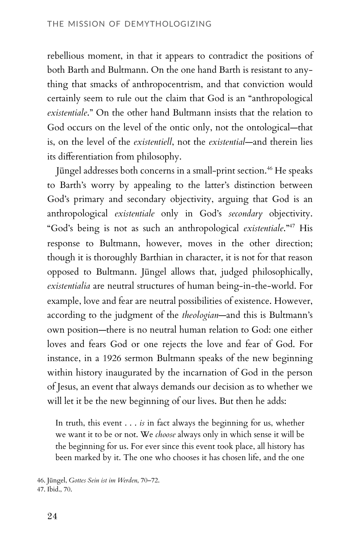rebellious moment, in that it appears to contradict the positions of both Barth and Bultmann. On the one hand Barth is resistant to anything that smacks of anthropocentrism, and that conviction would certainly seem to rule out the claim that God is an "anthropological *existentiale*." On the other hand Bultmann insists that the relation to God occurs on the level of the ontic only, not the ontological—that is, on the level of the *existentiell*, not the *existential*—and therein lies its differentiation from philosophy.

Jüngel addresses both concerns in a small-print section.<sup>46</sup> He speaks to Barth's worry by appealing to the latter's distinction between God's primary and secondary objectivity, arguing that God is an anthropological *existentiale* only in God's *secondary* objectivity. "God's being is not as such an anthropological *existentiale*."<sup>47</sup> His response to Bultmann, however, moves in the other direction; though it is thoroughly Barthian in character, it is not for that reason opposed to Bultmann. Jüngel allows that, judged philosophically, *existentialia* are neutral structures of human being-in-the-world. For example, love and fear are neutral possibilities of existence. However, according to the judgment of the *theologian*—and this is Bultmann's own position—there is no neutral human relation to God: one either loves and fears God or one rejects the love and fear of God. For instance, in a 1926 sermon Bultmann speaks of the new beginning within history inaugurated by the incarnation of God in the person of Jesus, an event that always demands our decision as to whether we will let it be the new beginning of our lives. But then he adds:

In truth, this event . . . *is* in fact always the beginning for us, whether we want it to be or not. We *choose* always only in which sense it will be the beginning for us. For ever since this event took place, all history has been marked by it. The one who chooses it has chosen life, and the one

46. Jüngel, *Gottes Sein ist im Werden*, 70–72. 47. Ibid., 70.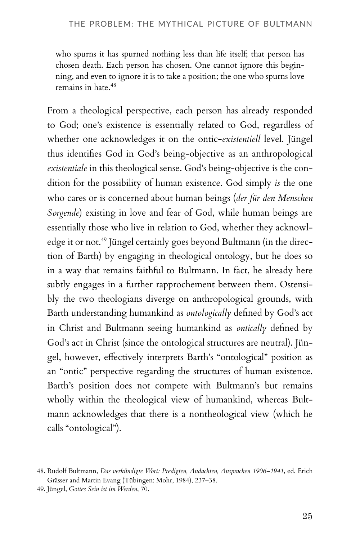who spurns it has spurned nothing less than life itself; that person has chosen death. Each person has chosen. One cannot ignore this beginning, and even to ignore it is to take a position; the one who spurns love remains in hate.<sup>48</sup>

From a theological perspective, each person has already responded to God; one's existence is essentially related to God, regardless of whether one acknowledges it on the ontic-*existentiell* level. Jüngel thus identifies God in God's being-objective as an anthropological *existentiale* in this theological sense. God's being-objective is the condition for the possibility of human existence. God simply *is* the one who cares or is concerned about human beings (*der für den Menschen Sorgende*) existing in love and fear of God, while human beings are essentially those who live in relation to God, whether they acknowledge it or not.<sup>49</sup> Jüngel certainly goes beyond Bultmann (in the direction of Barth) by engaging in theological ontology, but he does so in a way that remains faithful to Bultmann. In fact, he already here subtly engages in a further rapprochement between them. Ostensibly the two theologians diverge on anthropological grounds, with Barth understanding humankind as *ontologically* defined by God's act in Christ and Bultmann seeing humankind as *ontically* defined by God's act in Christ (since the ontological structures are neutral). Jüngel, however, effectively interprets Barth's "ontological" position as an "ontic" perspective regarding the structures of human existence. Barth's position does not compete with Bultmann's but remains wholly within the theological view of humankind, whereas Bultmann acknowledges that there is a nontheological view (which he calls "ontological").

<sup>48.</sup> Rudolf Bultmann, *Das verkündigte Wort: Predigten, Andachten, Ansprachen 1906–1941*, ed. Erich Grässer and Martin Evang (Tübingen: Mohr, 1984), 237–38.

<sup>49.</sup> Jüngel, *Gottes Sein ist im Werden*, 70.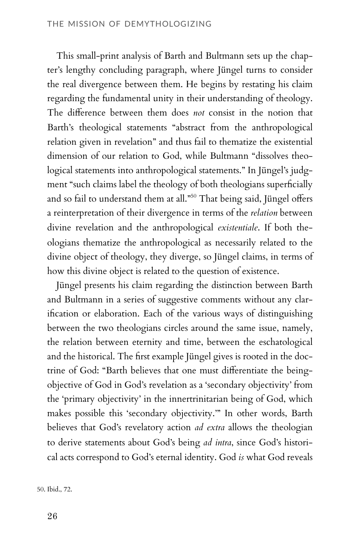#### THE MISSION OF DEMYTHOLOGIZING

This small-print analysis of Barth and Bultmann sets up the chapter's lengthy concluding paragraph, where Jüngel turns to consider the real divergence between them. He begins by restating his claim regarding the fundamental unity in their understanding of theology. The difference between them does *not* consist in the notion that Barth's theological statements "abstract from the anthropological relation given in revelation" and thus fail to thematize the existential dimension of our relation to God, while Bultmann "dissolves theological statements into anthropological statements." In Jüngel's judgment "such claims label the theology of both theologians superficially and so fail to understand them at all."<sup>50</sup> That being said, Jüngel offers a reinterpretation of their divergence in terms of the *relation* between divine revelation and the anthropological *existentiale*. If both theologians thematize the anthropological as necessarily related to the divine object of theology, they diverge, so Jüngel claims, in terms of how this divine object is related to the question of existence.

Jüngel presents his claim regarding the distinction between Barth and Bultmann in a series of suggestive comments without any clarification or elaboration. Each of the various ways of distinguishing between the two theologians circles around the same issue, namely, the relation between eternity and time, between the eschatological and the historical. The first example Jüngel gives is rooted in the doctrine of God: "Barth believes that one must differentiate the beingobjective of God in God's revelation as a 'secondary objectivity' from the 'primary objectivity' in the innertrinitarian being of God, which makes possible this 'secondary objectivity.'" In other words, Barth believes that God's revelatory action *ad extra* allows the theologian to derive statements about God's being *ad intra*, since God's historical acts correspond to God's eternal identity. God *is* what God reveals

50. Ibid., 72.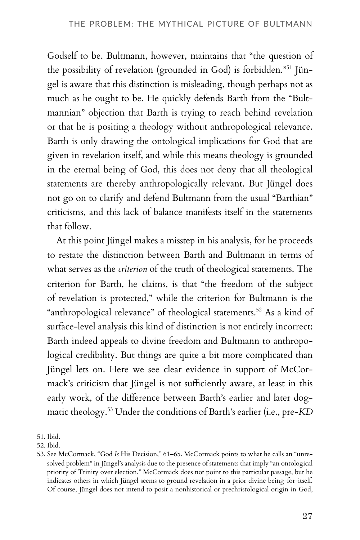Godself to be. Bultmann, however, maintains that "the question of the possibility of revelation (grounded in God) is forbidden."<sup>51</sup> Jüngel is aware that this distinction is misleading, though perhaps not as much as he ought to be. He quickly defends Barth from the "Bultmannian" objection that Barth is trying to reach behind revelation or that he is positing a theology without anthropological relevance. Barth is only drawing the ontological implications for God that are given in revelation itself, and while this means theology is grounded in the eternal being of God, this does not deny that all theological statements are thereby anthropologically relevant. But Jüngel does not go on to clarify and defend Bultmann from the usual "Barthian" criticisms, and this lack of balance manifests itself in the statements that follow.

At this point Jüngel makes a misstep in his analysis, for he proceeds to restate the distinction between Barth and Bultmann in terms of what serves as the *criterion* of the truth of theological statements. The criterion for Barth, he claims, is that "the freedom of the subject of revelation is protected," while the criterion for Bultmann is the "anthropological relevance" of theological statements.<sup>52</sup> As a kind of surface-level analysis this kind of distinction is not entirely incorrect: Barth indeed appeals to divine freedom and Bultmann to anthropological credibility. But things are quite a bit more complicated than Jüngel lets on. Here we see clear evidence in support of McCormack's criticism that Jüngel is not sufficiently aware, at least in this early work, of the difference between Barth's earlier and later dogmatic theology.<sup>53</sup> Under the conditions of Barth's earlier (i.e., pre-*KD*

51. Ibid.

52. Ibid.

<sup>53.</sup> See McCormack, "God *Is* His Decision," 61–65. McCormack points to what he calls an "unresolved problem" in Jüngel's analysis due to the presence of statements that imply "an ontological priority of Trinity over election." McCormack does not point to this particular passage, but he indicates others in which Jüngel seems to ground revelation in a prior divine being-for-itself. Of course, Jüngel does not intend to posit a nonhistorical or prechristological origin in God,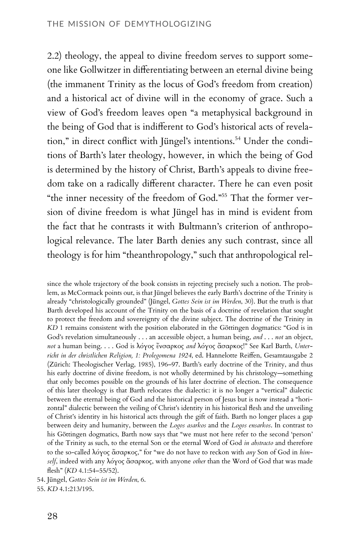2.2) theology, the appeal to divine freedom serves to support someone like Gollwitzer in differentiating between an eternal divine being (the immanent Trinity as the locus of God's freedom from creation) and a historical act of divine will in the economy of grace. Such a view of God's freedom leaves open "a metaphysical background in the being of God that is indifferent to God's historical acts of revelation," in direct conflict with Jüngel's intentions.<sup>54</sup> Under the conditions of Barth's later theology, however, in which the being of God is determined by the history of Christ, Barth's appeals to divine freedom take on a radically different character. There he can even posit "the inner necessity of the freedom of God."<sup>55</sup> That the former version of divine freedom is what Jüngel has in mind is evident from the fact that he contrasts it with Bultmann's criterion of anthropological relevance. The later Barth denies any such contrast, since all theology is for him "theanthropology," such that anthropological rel-

since the whole trajectory of the book consists in rejecting precisely such a notion. The problem, as McCormack points out, is that Jüngel believes the early Barth's doctrine of the Trinity is already "christologically grounded" (Jüngel, *Gottes Sein ist im Werden*, 30). But the truth is that Barth developed his account of the Trinity on the basis of a doctrine of revelation that sought to protect the freedom and sovereignty of the divine subject. The doctrine of the Trinity in *KD* 1 remains consistent with the position elaborated in the Göttingen dogmatics: "God is in God's revelation simultaneously . . . an accessible object, a human being, *and* . . . *not* an object, *not* a human being. . . . God is λόγος ἔνσαρκος *and* λόγος ἄσαρκος!" See Karl Barth, *Unterricht in der christlichen Religion, 1: Prolegomena 1924*, ed. Hannelotte Reiffen, Gesamtausgabe 2 (Zürich: Theologischer Verlag, 1985), 196–97. Barth's early doctrine of the Trinity, and thus his early doctrine of divine freedom, is not wholly determined by his christology—something that only becomes possible on the grounds of his later doctrine of election. The consequence of this later theology is that Barth relocates the dialectic: it is no longer a "vertical" dialectic between the eternal being of God and the historical person of Jesus but is now instead a "horizontal" dialectic between the veiling of Christ's identity in his historical flesh and the unveiling of Christ's identity in his historical acts through the gift of faith. Barth no longer places a gap between deity and humanity, between the *Logos asarkos* and the *Logos ensarkos*. In contrast to his Göttingen dogmatics, Barth now says that "we must not here refer to the second 'person' of the Trinity as such, to the eternal Son or the eternal Word of God *in abstracto* and therefore to the so-called λόγος ἄσαρκος," for "we do not have to reckon with *any* Son of God in *himself*, indeed with any λόγος ἄσαρκος, with anyone *other* than the Word of God that was made flesh" (*KD* 4.1:54–55/52).

54. Jüngel, *Gottes Sein ist im Werden*, 6.

<sup>55.</sup> *KD* 4.1:213/195.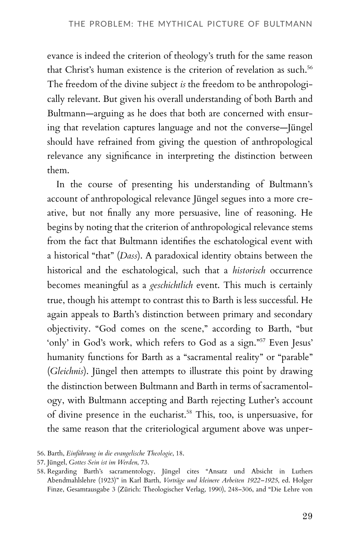evance is indeed the criterion of theology's truth for the same reason that Christ's human existence is the criterion of revelation as such.<sup>56</sup> The freedom of the divine subject *is* the freedom to be anthropologically relevant. But given his overall understanding of both Barth and Bultmann—arguing as he does that both are concerned with ensuring that revelation captures language and not the converse—Jüngel should have refrained from giving the question of anthropological relevance any significance in interpreting the distinction between them.

In the course of presenting his understanding of Bultmann's account of anthropological relevance Jüngel segues into a more creative, but not finally any more persuasive, line of reasoning. He begins by noting that the criterion of anthropological relevance stems from the fact that Bultmann identifies the eschatological event with a historical "that" (*Dass*). A paradoxical identity obtains between the historical and the eschatological, such that a *historisch* occurrence becomes meaningful as a *geschichtlich* event. This much is certainly true, though his attempt to contrast this to Barth is less successful. He again appeals to Barth's distinction between primary and secondary objectivity. "God comes on the scene," according to Barth, "but 'only' in God's work, which refers to God as a sign."<sup>57</sup> Even Jesus' humanity functions for Barth as a "sacramental reality" or "parable" (*Gleichnis*). Jüngel then attempts to illustrate this point by drawing the distinction between Bultmann and Barth in terms of sacramentology, with Bultmann accepting and Barth rejecting Luther's account of divine presence in the eucharist.<sup>58</sup> This, too, is unpersuasive, for the same reason that the criteriological argument above was unper-

<sup>56.</sup> Barth, *Einführung in die evangelische Theologie*, 18.

<sup>57.</sup> Jüngel, *Gottes Sein ist im Werden*, 73.

<sup>58.</sup> Regarding Barth's sacramentology, Jüngel cites "Ansatz und Absicht in Luthers Abendmahlslehre (1923)" in Karl Barth, *Vorträge und kleinere Arbeiten 1922–1925*, ed. Holger Finze, Gesamtausgabe 3 (Zürich: Theologischer Verlag, 1990), 248–306, and "Die Lehre von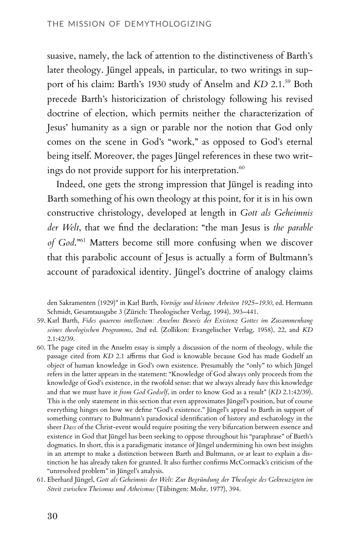suasive, namely, the lack of attention to the distinctiveness of Barth's later theology. Jüngel appeals, in particular, to two writings in support of his claim: Barth's 1930 study of Anselm and *KD* 2.1.<sup>59</sup> Both precede Barth's historicization of christology following his revised doctrine of election, which permits neither the characterization of Jesus' humanity as a sign or parable nor the notion that God only comes on the scene in God's "work," as opposed to God's eternal being itself. Moreover, the pages Jüngel references in these two writings do not provide support for his interpretation.<sup>60</sup>

Indeed, one gets the strong impression that Jüngel is reading into Barth something of his own theology at this point, for it is in his own constructive christology, developed at length in *Gott als Geheimnis der Welt*, that we find the declaration: "the man Jesus is *the parable of God*."<sup>61</sup> Matters become still more confusing when we discover that this parabolic account of Jesus is actually a form of Bultmann's account of paradoxical identity. Jüngel's doctrine of analogy claims

den Sakramenten (1929)" in Karl Barth, *Vorträge und kleinere Arbeiten 1925–1930*, ed. Hermann Schmidt, Gesamtausgabe 3 (Zürich: Theologischer Verlag, 1994), 393–441.

- 59. Karl Barth, *Fides quaerens intellectum: Anselms Beweis der Existenz Gottes im Zusammenhang seines theologischen Programms*, 2nd ed. (Zollikon: Evangelischer Verlag, 1958), 22, and *KD* 2.1:42/39.
- 60. The page cited in the Anselm essay is simply a discussion of the norm of theology, while the passage cited from *KD* 2.1 affirms that God is knowable because God has made Godself an object of human knowledge in God's own existence. Presumably the "only" to which Jüngel refers in the latter appears in the statement: "Knowledge of God always only proceeds from the knowledge of God's existence, in the twofold sense: that we always already *have* this knowledge and that we must have it *from God Godself*, in order to know God as a result" (*KD* 2.1:42/39). This is the only statement in this section that even approximates Jüngel's position, but of course everything hinges on how we define "God's existence." Jüngel's appeal to Barth in support of something contrary to Bultmann's paradoxical identification of history and eschatology in the sheer *Dass* of the Christ-event would require positing the very bifurcation between essence and existence in God that Jüngel has been seeking to oppose throughout his "paraphrase" of Barth's dogmatics. In short, this is a paradigmatic instance of Jüngel undermining his own best insights in an attempt to make a distinction between Barth and Bultmann, or at least to explain a distinction he has already taken for granted. It also further confirms McCormack's criticism of the "unresolved problem" in Jüngel's analysis.
- 61. Eberhard Jüngel, *Gott als Geheimnis der Welt: Zur Begründung der Theologie des Gekreuzigten im Streit zwischen Theismus und Atheismus* (Tübingen: Mohr, 1977), 394.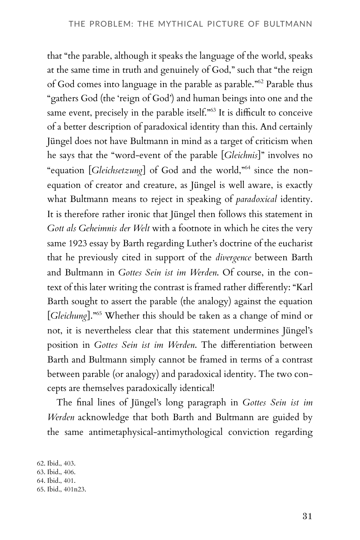that "the parable, although it speaks the language of the world, speaks at the same time in truth and genuinely of God," such that "the reign of God comes into language in the parable as parable."<sup>62</sup> Parable thus "gathers God (the 'reign of God') and human beings into one and the same event, precisely in the parable itself."<sup>63</sup> It is difficult to conceive of a better description of paradoxical identity than this. And certainly Jüngel does not have Bultmann in mind as a target of criticism when he says that the "word-event of the parable [*Gleichnis*]" involves no "equation [*Gleichsetzung*] of God and the world,"<sup>64</sup> since the nonequation of creator and creature, as Jüngel is well aware, is exactly what Bultmann means to reject in speaking of *paradoxical* identity. It is therefore rather ironic that Jüngel then follows this statement in *Gott als Geheimnis der Welt* with a footnote in which he cites the very same 1923 essay by Barth regarding Luther's doctrine of the eucharist that he previously cited in support of the *divergence* between Barth and Bultmann in *Gottes Sein ist im Werden*. Of course, in the context of this later writing the contrast is framed rather differently: "Karl Barth sought to assert the parable (the analogy) against the equation [*Gleichung*]."<sup>65</sup> Whether this should be taken as a change of mind or not, it is nevertheless clear that this statement undermines Jüngel's position in *Gottes Sein ist im Werden*. The differentiation between Barth and Bultmann simply cannot be framed in terms of a contrast between parable (or analogy) and paradoxical identity. The two concepts are themselves paradoxically identical!

The final lines of Jüngel's long paragraph in *Gottes Sein ist im Werden* acknowledge that both Barth and Bultmann are guided by the same antimetaphysical-antimythological conviction regarding

62. Ibid., 403. 63. Ibid., 406. 64. Ibid., 401. 65. Ibid., 401n23.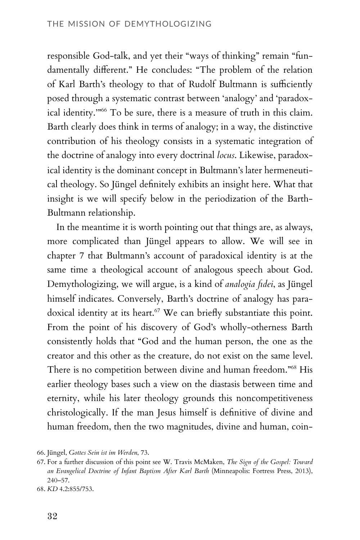responsible God-talk, and yet their "ways of thinking" remain "fundamentally different." He concludes: "The problem of the relation of Karl Barth's theology to that of Rudolf Bultmann is sufficiently posed through a systematic contrast between 'analogy' and 'paradoxical identity.'"<sup>66</sup> To be sure, there is a measure of truth in this claim. Barth clearly does think in terms of analogy; in a way, the distinctive contribution of his theology consists in a systematic integration of the doctrine of analogy into every doctrinal *locus*. Likewise, paradoxical identity is the dominant concept in Bultmann's later hermeneutical theology. So Jüngel definitely exhibits an insight here. What that insight is we will specify below in the periodization of the Barth-Bultmann relationship.

In the meantime it is worth pointing out that things are, as always, more complicated than Jüngel appears to allow. We will see in chapter 7 that Bultmann's account of paradoxical identity is at the same time a theological account of analogous speech about God. Demythologizing, we will argue, is a kind of *analogia fidei*, as Jüngel himself indicates. Conversely, Barth's doctrine of analogy has paradoxical identity at its heart.<sup>67</sup> We can briefly substantiate this point. From the point of his discovery of God's wholly-otherness Barth consistently holds that "God and the human person, the one as the creator and this other as the creature, do not exist on the same level. There is no competition between divine and human freedom."<sup>68</sup> His earlier theology bases such a view on the diastasis between time and eternity, while his later theology grounds this noncompetitiveness christologically. If the man Jesus himself is definitive of divine and human freedom, then the two magnitudes, divine and human, coin-

<sup>66.</sup> Jüngel, *Gottes Sein ist im Werden*, 73.

<sup>67.</sup> For a further discussion of this point see W. Travis McMaken, *The Sign of the Gospel: Toward an Evangelical Doctrine of Infant Baptism After Karl Barth* (Minneapolis: Fortress Press, 2013), 240–57.

<sup>68.</sup> *KD* 4.2:855/753.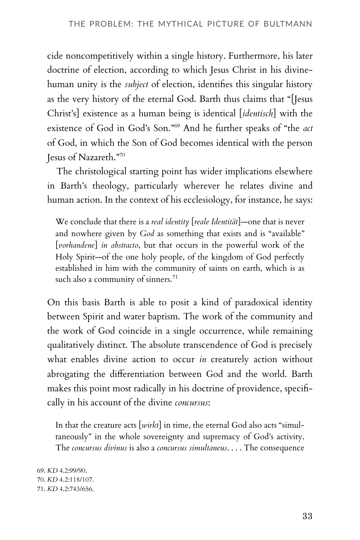cide noncompetitively within a single history. Furthermore, his later doctrine of election, according to which Jesus Christ in his divinehuman unity is the *subject* of election, identifies this singular history as the very history of the eternal God. Barth thus claims that "[Jesus Christ's] existence as a human being is identical [*identisch*] with the existence of God in God's Son."<sup>69</sup> And he further speaks of "the *act* of God, in which the Son of God becomes identical with the person Jesus of Nazareth."<sup>70</sup>

The christological starting point has wider implications elsewhere in Barth's theology, particularly wherever he relates divine and human action. In the context of his ecclesiology, for instance, he says:

We conclude that there is a *real identity* [*reale Identität*]—one that is never and nowhere given by *God* as something that exists and is "available" [*vorhandene*] *in abstracto*, but that occurs in the powerful work of the Holy Spirit—of the one holy people, of the kingdom of God perfectly established in him with the community of saints on earth, which is as such also a community of sinners.<sup>71</sup>

On this basis Barth is able to posit a kind of paradoxical identity between Spirit and water baptism. The work of the community and the work of God coincide in a single occurrence, while remaining qualitatively distinct. The absolute transcendence of God is precisely what enables divine action to occur *in* creaturely action without abrogating the differentiation between God and the world. Barth makes this point most radically in his doctrine of providence, specifically in his account of the divine *concursus*:

In that the creature acts [*wirkt*] in time, the eternal God also acts "simultaneously" in the whole sovereignty and supremacy of God's activity. The *concursus divinus* is also a *concursus simultaneus*. . . . The consequence

69. *KD* 4.2:99/90. 70. *KD* 4.2:118/107. 71. *KD* 4.2:743/656.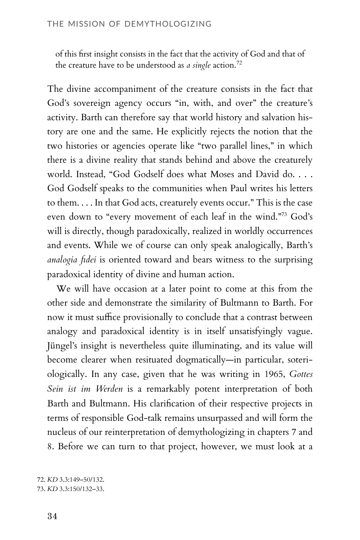of this first insight consists in the fact that the activity of God and that of the creature have to be understood as *a single* action.<sup>72</sup>

The divine accompaniment of the creature consists in the fact that God's sovereign agency occurs "in, with, and over" the creature's activity. Barth can therefore say that world history and salvation history are one and the same. He explicitly rejects the notion that the two histories or agencies operate like "two parallel lines," in which there is a divine reality that stands behind and above the creaturely world. Instead, "God Godself does what Moses and David do. . . . God Godself speaks to the communities when Paul writes his letters to them. . . . In that God acts, creaturely events occur." This is the case even down to "every movement of each leaf in the wind."<sup>73</sup> God's will is directly, though paradoxically, realized in worldly occurrences and events. While we of course can only speak analogically, Barth's *analogia fidei* is oriented toward and bears witness to the surprising paradoxical identity of divine and human action.

We will have occasion at a later point to come at this from the other side and demonstrate the similarity of Bultmann to Barth. For now it must suffice provisionally to conclude that a contrast between analogy and paradoxical identity is in itself unsatisfyingly vague. Jüngel's insight is nevertheless quite illuminating, and its value will become clearer when resituated dogmatically—in particular, soteriologically. In any case, given that he was writing in 1965, *Gottes Sein ist im Werden* is a remarkably potent interpretation of both Barth and Bultmann. His clarification of their respective projects in terms of responsible God-talk remains unsurpassed and will form the nucleus of our reinterpretation of demythologizing in chapters 7 and 8. Before we can turn to that project, however, we must look at a

72. *KD* 3.3:149–50/132. 73. *KD* 3.3:150/132–33.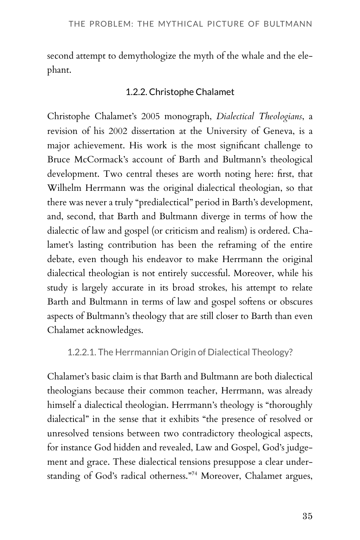second attempt to demythologize the myth of the whale and the elephant.

## 1.2.2. Christophe Chalamet

Christophe Chalamet's 2005 monograph, *Dialectical Theologians*, a revision of his 2002 dissertation at the University of Geneva, is a major achievement. His work is the most significant challenge to Bruce McCormack's account of Barth and Bultmann's theological development. Two central theses are worth noting here: first, that Wilhelm Herrmann was the original dialectical theologian, so that there was never a truly "predialectical" period in Barth's development, and, second, that Barth and Bultmann diverge in terms of how the dialectic of law and gospel (or criticism and realism) is ordered. Chalamet's lasting contribution has been the reframing of the entire debate, even though his endeavor to make Herrmann the original dialectical theologian is not entirely successful. Moreover, while his study is largely accurate in its broad strokes, his attempt to relate Barth and Bultmann in terms of law and gospel softens or obscures aspects of Bultmann's theology that are still closer to Barth than even Chalamet acknowledges.

# 1.2.2.1. The Herrmannian Origin of Dialectical Theology?

Chalamet's basic claim is that Barth and Bultmann are both dialectical theologians because their common teacher, Herrmann, was already himself a dialectical theologian. Herrmann's theology is "thoroughly dialectical" in the sense that it exhibits "the presence of resolved or unresolved tensions between two contradictory theological aspects, for instance God hidden and revealed, Law and Gospel, God's judgement and grace. These dialectical tensions presuppose a clear understanding of God's radical otherness."<sup>74</sup> Moreover, Chalamet argues,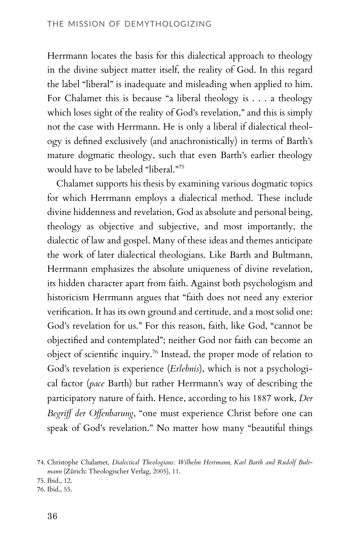Herrmann locates the basis for this dialectical approach to theology in the divine subject matter itself, the reality of God. In this regard the label "liberal" is inadequate and misleading when applied to him. For Chalamet this is because "a liberal theology is . . . a theology which loses sight of the reality of God's revelation," and this is simply not the case with Herrmann. He is only a liberal if dialectical theology is defined exclusively (and anachronistically) in terms of Barth's mature dogmatic theology, such that even Barth's earlier theology would have to be labeled "liberal."<sup>75</sup>

Chalamet supports his thesis by examining various dogmatic topics for which Herrmann employs a dialectical method. These include divine hiddenness and revelation, God as absolute and personal being, theology as objective and subjective, and most importantly, the dialectic of law and gospel. Many of these ideas and themes anticipate the work of later dialectical theologians. Like Barth and Bultmann, Herrmann emphasizes the absolute uniqueness of divine revelation, its hidden character apart from faith. Against both psychologism and historicism Herrmann argues that "faith does not need any exterior verification. It has its own ground and certitude, and a most solid one: God's revelation for us." For this reason, faith, like God, "cannot be objectified and contemplated"; neither God nor faith can become an object of scientific inquiry.<sup>76</sup> Instead, the proper mode of relation to God's revelation is experience (*Erlebnis*), which is not a psychological factor (*pace* Barth) but rather Herrmann's way of describing the participatory nature of faith. Hence, according to his 1887 work, *Der Begriff der Offenbarung*, "one must experience Christ before one can speak of God's revelation." No matter how many "beautiful things

<sup>74.</sup> Christophe Chalamet, *Dialectical Theologians: Wilhelm Herrmann, Karl Barth and Rudolf Bultmann* (Zürich: Theologischer Verlag, 2005), 11.

<sup>75.</sup> Ibid., 12.

<sup>76.</sup> Ibid., 55.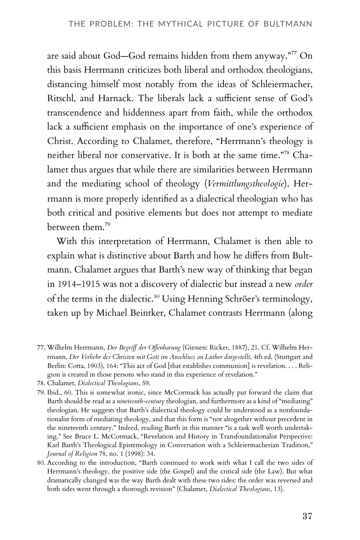are said about God—God remains hidden from them anyway."<sup>77</sup> On this basis Herrmann criticizes both liberal and orthodox theologians, distancing himself most notably from the ideas of Schleiermacher, Ritschl, and Harnack. The liberals lack a sufficient sense of God's transcendence and hiddenness apart from faith, while the orthodox lack a sufficient emphasis on the importance of one's experience of Christ. According to Chalamet, therefore, "Herrmann's theology is neither liberal nor conservative. It is both at the same time."<sup>78</sup> Chalamet thus argues that while there are similarities between Herrmann and the mediating school of theology (*Vermittlungstheologie*), Herrmann is more properly identified as a dialectical theologian who has both critical and positive elements but does not attempt to mediate between them.<sup>79</sup>

With this interpretation of Herrmann, Chalamet is then able to explain what is distinctive about Barth and how he differs from Bultmann. Chalamet argues that Barth's new way of thinking that began in 1914–1915 was not a discovery of dialectic but instead a new *order* of the terms in the dialectic.<sup>80</sup> Using Henning Schröer's terminology, taken up by Michael Beintker, Chalamet contrasts Herrmann (along

80. According to the introduction, "Barth continued to work with what I call the two sides of Herrmann's theology, the positive side (the Gospel) and the critical side (the Law). But what dramatically changed was the way Barth dealt with these two sides: the order was reversed and both sides went through a thorough revision" (Chalamet, *Dialectical Theologians*, 13).

<sup>77.</sup> Wilhelm Herrmann, *Der Begriff der Offenbarung* (Giessen: Ricker, 1887), 21. Cf. Wilhelm Herrmann, *Der Verkehr des Christen mit Gott im Anschluss an Luther dargestellt*, 4th ed. (Stuttgart and Berlin: Cotta, 1903), 164: "This act of God [that establishes communion] is revelation. . . . Religion is created in those persons who stand in this experience of revelation."

<sup>78.</sup> Chalamet, *Dialectical Theologians*, 59.

<sup>79.</sup> Ibid., 60. This is somewhat ironic, since McCormack has actually put forward the claim that Barth should be read as a *nineteenth-century* theologian, and furthermore as a kind of "mediating" theologian. He suggests that Barth's dialectical theology could be understood as a nonfoundationalist form of mediating theology, and that this form is "not altogether without precedent in the nineteenth century." Indeed, reading Barth in this manner "is a task well worth undertaking." See Bruce L. McCormack, "Revelation and History in Transfoundationalist Perspective: Karl Barth's Theological Epistemology in Conversation with a Schleiermacherian Tradition," *Journal of Religion* 78, no. 1 (1998): 34.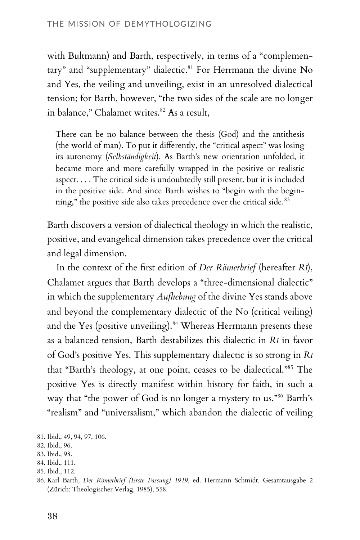with Bultmann) and Barth, respectively, in terms of a "complementary" and "supplementary" dialectic.<sup>81</sup> For Herrmann the divine No and Yes, the veiling and unveiling, exist in an unresolved dialectical tension; for Barth, however, "the two sides of the scale are no longer in balance," Chalamet writes.<sup>82</sup> As a result,

There can be no balance between the thesis (God) and the antithesis (the world of man). To put it differently, the "critical aspect" was losing its autonomy (*Selbständigkeit*). As Barth's new orientation unfolded, it became more and more carefully wrapped in the positive or realistic aspect. . . . The critical side is undoubtedly still present, but it is included in the positive side. And since Barth wishes to "begin with the beginning," the positive side also takes precedence over the critical side. $83$ 

Barth discovers a version of dialectical theology in which the realistic, positive, and evangelical dimension takes precedence over the critical and legal dimension.

In the context of the first edition of *Der Römerbrief* (hereafter *RI*), Chalamet argues that Barth develops a "three-dimensional dialectic" in which the supplementary *Aufhebung* of the divine Yes stands above and beyond the complementary dialectic of the No (critical veiling) and the Yes (positive unveiling).<sup>84</sup> Whereas Herrmann presents these as a balanced tension, Barth destabilizes this dialectic in *RI* in favor of God's positive Yes. This supplementary dialectic is so strong in *RI* that "Barth's theology, at one point, ceases to be dialectical."<sup>85</sup> The positive Yes is directly manifest within history for faith, in such a way that "the power of God is no longer a mystery to us."86 Barth's "realism" and "universalism," which abandon the dialectic of veiling

85. Ibid., 112.

<sup>81.</sup> Ibid., 49, 94, 97, 106.

<sup>82.</sup> Ibid., 96.

<sup>83.</sup> Ibid., 98.

<sup>84.</sup> Ibid., 111.

<sup>86.</sup> Karl Barth, *Der Römerbrief (Erste Fassung) 1919*, ed. Hermann Schmidt, Gesamtausgabe 2 (Zürich: Theologischer Verlag, 1985), 558.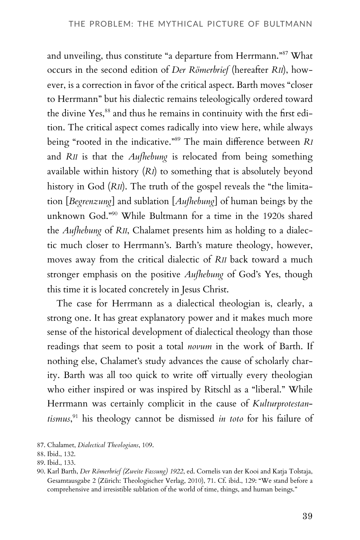and unveiling, thus constitute "a departure from Herrmann."<sup>87</sup> What occurs in the second edition of *Der Römerbrief* (hereafter *RII*), however, is a correction in favor of the critical aspect. Barth moves "closer to Herrmann" but his dialectic remains teleologically ordered toward the divine Yes,<sup>88</sup> and thus he remains in continuity with the first edition. The critical aspect comes radically into view here, while always being "rooted in the indicative."<sup>89</sup> The main difference between *RI* and *RII* is that the *Aufhebung* is relocated from being something available within history (*RI*) to something that is absolutely beyond history in God (*RII*). The truth of the gospel reveals the "the limitation [*Begrenzung*] and sublation [*Aufhebung*] of human beings by the unknown God."<sup>90</sup> While Bultmann for a time in the 1920s shared the *Aufhebung* of *RII*, Chalamet presents him as holding to a dialectic much closer to Herrmann's. Barth's mature theology, however, moves away from the critical dialectic of *RII* back toward a much stronger emphasis on the positive *Aufhebung* of God's Yes, though this time it is located concretely in Jesus Christ.

The case for Herrmann as a dialectical theologian is, clearly, a strong one. It has great explanatory power and it makes much more sense of the historical development of dialectical theology than those readings that seem to posit a total *novum* in the work of Barth. If nothing else, Chalamet's study advances the cause of scholarly charity. Barth was all too quick to write off virtually every theologian who either inspired or was inspired by Ritschl as a "liberal." While Herrmann was certainly complicit in the cause of *Kulturprotestantismus*, <sup>91</sup> his theology cannot be dismissed *in toto* for his failure of

<sup>87.</sup> Chalamet, *Dialectical Theologians*, 109.

<sup>88.</sup> Ibid., 132.

<sup>89.</sup> Ibid., 133.

<sup>90.</sup> Karl Barth, *Der Römerbrief (Zweite Fassung) 1922*, ed. Cornelis van der Kooi and Katja Tolstaja, Gesamtausgabe 2 (Zürich: Theologischer Verlag, 2010), 71. Cf. ibid., 129: "We stand before a comprehensive and irresistible sublation of the world of time, things, and human beings."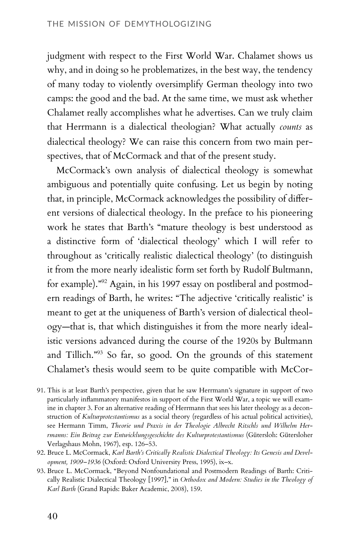judgment with respect to the First World War. Chalamet shows us why, and in doing so he problematizes, in the best way, the tendency of many today to violently oversimplify German theology into two camps: the good and the bad. At the same time, we must ask whether Chalamet really accomplishes what he advertises. Can we truly claim that Herrmann is a dialectical theologian? What actually *counts* as dialectical theology? We can raise this concern from two main perspectives, that of McCormack and that of the present study.

McCormack's own analysis of dialectical theology is somewhat ambiguous and potentially quite confusing. Let us begin by noting that, in principle, McCormack acknowledges the possibility of different versions of dialectical theology. In the preface to his pioneering work he states that Barth's "mature theology is best understood as a distinctive form of 'dialectical theology' which I will refer to throughout as 'critically realistic dialectical theology' (to distinguish it from the more nearly idealistic form set forth by Rudolf Bultmann, for example)."<sup>92</sup> Again, in his 1997 essay on postliberal and postmodern readings of Barth, he writes: "The adjective 'critically realistic' is meant to get at the uniqueness of Barth's version of dialectical theology—that is, that which distinguishes it from the more nearly idealistic versions advanced during the course of the 1920s by Bultmann and Tillich."<sup>93</sup> So far, so good. On the grounds of this statement Chalamet's thesis would seem to be quite compatible with McCor-

- 91. This is at least Barth's perspective, given that he saw Herrmann's signature in support of two particularly inflammatory manifestos in support of the First World War, a topic we will examine in chapter 3. For an alternative reading of Herrmann that sees his later theology as a deconstruction of *Kulturprotestantismus* as a social theory (regardless of his actual political activities), see Hermann Timm, *Theorie und Praxis in der Theologie Albrecht Ritschls und Wilhelm Herrmanns: Ein Beitrag zur Entwicklungsgeschichte des Kulturprotestantismus* (Gütersloh: Gütersloher Verlagshaus Mohn, 1967), esp. 126–53.
- 92. Bruce L. McCormack, *Karl Barth's Critically Realistic Dialectical Theology: Its Genesis and Development, 1909–1936* (Oxford: Oxford University Press, 1995), ix–x.

93. Bruce L. McCormack, "Beyond Nonfoundational and Postmodern Readings of Barth: Critically Realistic Dialectical Theology [1997]," in *Orthodox and Modern: Studies in the Theology of Karl Barth* (Grand Rapids: Baker Academic, 2008), 159.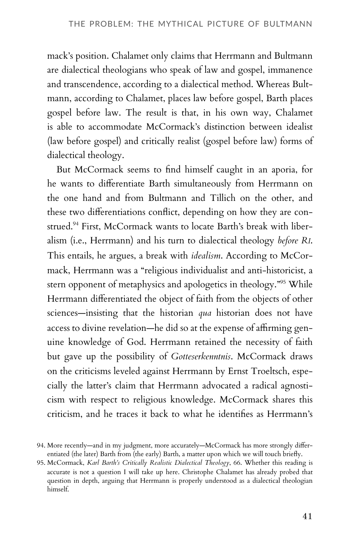mack's position. Chalamet only claims that Herrmann and Bultmann are dialectical theologians who speak of law and gospel, immanence and transcendence, according to a dialectical method. Whereas Bultmann, according to Chalamet, places law before gospel, Barth places gospel before law. The result is that, in his own way, Chalamet is able to accommodate McCormack's distinction between idealist (law before gospel) and critically realist (gospel before law) forms of dialectical theology.

But McCormack seems to find himself caught in an aporia, for he wants to differentiate Barth simultaneously from Herrmann on the one hand and from Bultmann and Tillich on the other, and these two differentiations conflict, depending on how they are construed.<sup>94</sup> First, McCormack wants to locate Barth's break with liberalism (i.e., Herrmann) and his turn to dialectical theology *before RI*. This entails, he argues, a break with *idealism*. According to McCormack, Herrmann was a "religious individualist and anti-historicist, a stern opponent of metaphysics and apologetics in theology."<sup>95</sup> While Herrmann differentiated the object of faith from the objects of other sciences—insisting that the historian *qua* historian does not have access to divine revelation—he did so at the expense of affirming genuine knowledge of God. Herrmann retained the necessity of faith but gave up the possibility of *Gotteserkenntnis*. McCormack draws on the criticisms leveled against Herrmann by Ernst Troeltsch, especially the latter's claim that Herrmann advocated a radical agnosticism with respect to religious knowledge. McCormack shares this criticism, and he traces it back to what he identifies as Herrmann's

<sup>94.</sup> More recently—and in my judgment, more accurately—McCormack has more strongly differentiated (the later) Barth from (the early) Barth, a matter upon which we will touch briefly.

<sup>95.</sup> McCormack, *Karl Barth's Critically Realistic Dialectical Theology*, 66. Whether this reading is accurate is not a question I will take up here. Christophe Chalamet has already probed that question in depth, arguing that Herrmann is properly understood as a dialectical theologian himself.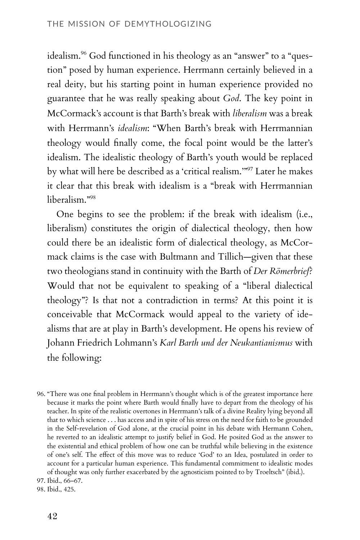idealism.<sup>96</sup> God functioned in his theology as an "answer" to a "question" posed by human experience. Herrmann certainly believed in a real deity, but his starting point in human experience provided no guarantee that he was really speaking about *God*. The key point in McCormack's account is that Barth's break with *liberalism* was a break with Herrmann's *idealism*: "When Barth's break with Herrmannian theology would finally come, the focal point would be the latter's idealism. The idealistic theology of Barth's youth would be replaced by what will here be described as a 'critical realism.'"<sup>97</sup> Later he makes it clear that this break with idealism is a "break with Herrmannian liberalism."<sup>98</sup>

One begins to see the problem: if the break with idealism (i.e., liberalism) constitutes the origin of dialectical theology, then how could there be an idealistic form of dialectical theology, as McCormack claims is the case with Bultmann and Tillich—given that these two theologians stand in continuity with the Barth of *Der Römerbrief*? Would that not be equivalent to speaking of a "liberal dialectical theology"? Is that not a contradiction in terms? At this point it is conceivable that McCormack would appeal to the variety of idealisms that are at play in Barth's development. He opens his review of Johann Friedrich Lohmann's *Karl Barth und der Neukantianismus* with the following:

<sup>96.</sup> "There was one final problem in Herrmann's thought which is of the greatest importance here because it marks the point where Barth would finally have to depart from the theology of his teacher. In spite of the realistic overtones in Herrmann's talk of a divine Reality lying beyond all that to which science . . . has access and in spite of his stress on the need for faith to be grounded in the Self-revelation of God alone, at the crucial point in his debate with Hermann Cohen, he reverted to an idealistic attempt to justify belief in God. He posited God as the answer to the existential and ethical problem of how one can be truthful while believing in the existence of one's self. The effect of this move was to reduce 'God' to an Idea, postulated in order to account for a particular human experience. This fundamental commitment to idealistic modes of thought was only further exacerbated by the agnosticism pointed to by Troeltsch" (ibid.).

<sup>97.</sup> Ibid., 66–67.

<sup>98.</sup> Ibid., 425.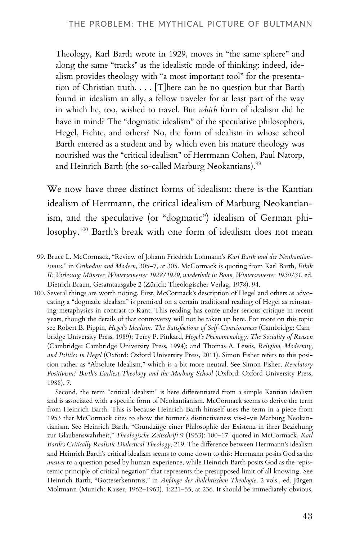Theology, Karl Barth wrote in 1929, moves in "the same sphere" and along the same "tracks" as the idealistic mode of thinking: indeed, idealism provides theology with "a most important tool" for the presentation of Christian truth. . . . [T]here can be no question but that Barth found in idealism an ally, a fellow traveler for at least part of the way in which he, too, wished to travel. But *which* form of idealism did he have in mind? The "dogmatic idealism" of the speculative philosophers, Hegel, Fichte, and others? No, the form of idealism in whose school Barth entered as a student and by which even his mature theology was nourished was the "critical idealism" of Herrmann Cohen, Paul Natorp, and Heinrich Barth (the so-called Marburg Neokantians).<sup>99</sup>

We now have three distinct forms of idealism: there is the Kantian idealism of Herrmann, the critical idealism of Marburg Neokantianism, and the speculative (or "dogmatic") idealism of German philosophy.<sup>100</sup> Barth's break with one form of idealism does not mean

- 99. Bruce L. McCormack, "Review of Johann Friedrich Lohmann's *Karl Barth und der Neukantianismus*," in *Orthodox and Modern*, 305–7, at 305. McCormack is quoting from Karl Barth, *Ethik II: Vorlesung Münster, Wintersemester 1928/1929, wiederholt in Bonn, Wintersemester 1930/31*, ed. Dietrich Braun, Gesamtausgabe 2 (Zürich: Theologischer Verlag, 1978), 94.
- 100. Several things are worth noting. First, McCormack's description of Hegel and others as advocating a "dogmatic idealism" is premised on a certain traditional reading of Hegel as reinstating metaphysics in contrast to Kant. This reading has come under serious critique in recent years, though the details of that controversy will not be taken up here. For more on this topic see Robert B. Pippin, *Hegel's Idealism: The Satisfactions of Self-Consciousness* (Cambridge: Cambridge University Press, 1989); Terry P. Pinkard, *Hegel's Phenomenology: The Sociality of Reason* (Cambridge: Cambridge University Press, 1994); and Thomas A. Lewis, *Religion, Modernity, and Politics in Hegel* (Oxford: Oxford University Press, 2011). Simon Fisher refers to this position rather as "Absolute Idealism," which is a bit more neutral. See Simon Fisher, *Revelatory Positivism? Barth's Earliest Theology and the Marburg School* (Oxford: Oxford University Press, 1988), 7.

Second, the term "critical idealism" is here differentiated from a simple Kantian idealism and is associated with a specific form of Neokantianism. McCormack seems to derive the term from Heinrich Barth. This is because Heinrich Barth himself uses the term in a piece from 1953 that McCormack cites to show the former's distinctiveness vis-à-vis Marburg Neokantianism. See Heinrich Barth, "Grundzüge einer Philosophie der Existenz in ihrer Beziehung zur Glaubenswahrheit," *Theologische Zeitschrift* 9 (1953): 100–17, quoted in McCormack, *Karl Barth's Critically Realistic Dialectical Theology*, 219. The difference between Herrmann's idealism and Heinrich Barth's critical idealism seems to come down to this: Herrmann posits God as the *answer* to a question posed by human experience, while Heinrich Barth posits God as the "epistemic principle of critical negation" that represents the presupposed limit of all knowing. See Heinrich Barth, "Gotteserkenntnis," in *Anfänge der dialektischen Theologie*, 2 vols., ed. Jürgen Moltmann (Munich: Kaiser, 1962–1963), 1:221–55, at 236. It should be immediately obvious,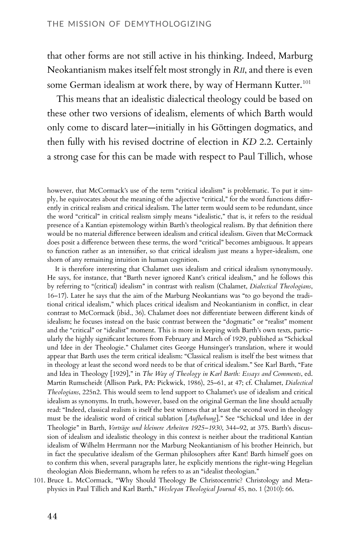that other forms are not still active in his thinking. Indeed, Marburg Neokantianism makes itself felt most strongly in *RII*, and there is even some German idealism at work there, by way of Hermann Kutter.<sup>101</sup>

This means that an idealistic dialectical theology could be based on these other two versions of idealism, elements of which Barth would only come to discard later—initially in his Göttingen dogmatics, and then fully with his revised doctrine of election in *KD* 2.2. Certainly a strong case for this can be made with respect to Paul Tillich, whose

however, that McCormack's use of the term "critical idealism" is problematic. To put it simply, he equivocates about the meaning of the adjective "critical," for the word functions differently in critical realism and critical idealism. The latter term would seem to be redundant, since the word "critical" in critical realism simply means "idealistic," that is, it refers to the residual presence of a Kantian epistemology within Barth's theological realism. By that definition there would be no material difference between idealism and critical idealism. Given that McCormack does posit a difference between these terms, the word "critical" becomes ambiguous. It appears to function rather as an intensifier, so that critical idealism just means a hyper-idealism, one shorn of any remaining intuition in human cognition.

It is therefore interesting that Chalamet uses idealism and critical idealism synonymously. He says, for instance, that "Barth never ignored Kant's critical idealism," and he follows this by referring to "(critical) idealism" in contrast with realism (Chalamet, *Dialectical Theologians*, 16–17). Later he says that the aim of the Marburg Neokantians was "to go beyond the traditional critical idealism," which places critical idealism and Neokantianism in conflict, in clear contrast to McCormack (ibid., 36). Chalamet does not differentiate between different kinds of idealism; he focuses instead on the basic contrast between the "dogmatic" or "realist" moment and the "critical" or "idealist" moment. This is more in keeping with Barth's own texts, particularly the highly significant lectures from February and March of 1929, published as "Schicksal und Idee in der Theologie." Chalamet cites George Hunsinger's translation, where it would appear that Barth uses the term critical idealism: "Classical realism is itself the best witness that in theology at least the second word needs to be that of critical idealism." See Karl Barth, "Fate and Idea in Theology [1929]," in *The Way of Theology in Karl Barth: Essays and Comments*, ed. Martin Rumscheidt (Allison Park, PA: Pickwick, 1986), 25–61, at 47; cf. Chalamet, *Dialectical Theologians*, 225n2. This would seem to lend support to Chalamet's use of idealism and critical idealism as synonyms. In truth, however, based on the original German the line should actually read: "Indeed, classical realism is itself the best witness that at least the second word in theology must be the idealistic word of critical sublation [*Aufhebung*]." See "Schicksal und Idee in der Theologie" in Barth, *Vorträge und kleinere Arbeiten 1925–1930*, 344–92, at 375. Barth's discussion of idealism and idealistic theology in this context is neither about the traditional Kantian idealism of Wilhelm Herrmann nor the Marburg Neokantianism of his brother Heinrich, but in fact the speculative idealism of the German philosophers after Kant! Barth himself goes on to confirm this when, several paragraphs later, he explicitly mentions the right-wing Hegelian theologian Alois Biedermann, whom he refers to as an "idealist theologian."

101. Bruce L. McCormack, "Why Should Theology Be Christocentric? Christology and Metaphysics in Paul Tillich and Karl Barth," *Wesleyan Theological Journal* 45, no. 1 (2010): 66.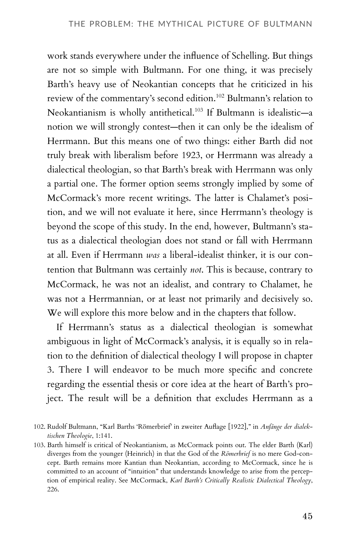work stands everywhere under the influence of Schelling. But things are not so simple with Bultmann. For one thing, it was precisely Barth's heavy use of Neokantian concepts that he criticized in his review of the commentary's second edition.<sup>102</sup> Bultmann's relation to Neokantianism is wholly antithetical.<sup>103</sup> If Bultmann is idealistic-a notion we will strongly contest—then it can only be the idealism of Herrmann. But this means one of two things: either Barth did not truly break with liberalism before 1923, or Herrmann was already a dialectical theologian, so that Barth's break with Herrmann was only a partial one. The former option seems strongly implied by some of McCormack's more recent writings. The latter is Chalamet's position, and we will not evaluate it here, since Herrmann's theology is beyond the scope of this study. In the end, however, Bultmann's status as a dialectical theologian does not stand or fall with Herrmann at all. Even if Herrmann *was* a liberal-idealist thinker, it is our contention that Bultmann was certainly *not*. This is because, contrary to McCormack, he was not an idealist, and contrary to Chalamet, he was not a Herrmannian, or at least not primarily and decisively so. We will explore this more below and in the chapters that follow.

If Herrmann's status as a dialectical theologian is somewhat ambiguous in light of McCormack's analysis, it is equally so in relation to the definition of dialectical theology I will propose in chapter 3. There I will endeavor to be much more specific and concrete regarding the essential thesis or core idea at the heart of Barth's project. The result will be a definition that excludes Herrmann as a

<sup>102.</sup> Rudolf Bultmann, "Karl Barths 'Römerbrief' in zweiter Auflage [1922]," in *Anfänge der dialektischen Theologie*, 1:141.

<sup>103.</sup> Barth himself is critical of Neokantianism, as McCormack points out. The elder Barth (Karl) diverges from the younger (Heinrich) in that the God of the *Römerbrief* is no mere God-concept. Barth remains more Kantian than Neokantian, according to McCormack, since he is committed to an account of "intuition" that understands knowledge to arise from the perception of empirical reality. See McCormack, *Karl Barth's Critically Realistic Dialectical Theology*, 226.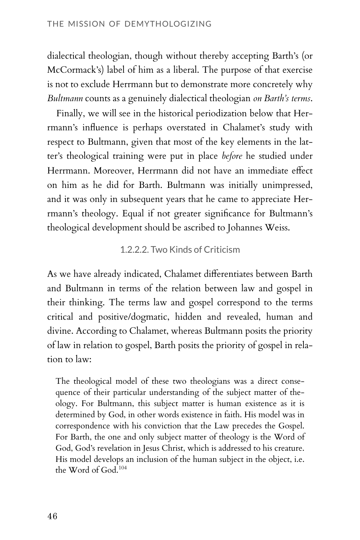dialectical theologian, though without thereby accepting Barth's (or McCormack's) label of him as a liberal. The purpose of that exercise is not to exclude Herrmann but to demonstrate more concretely why *Bultmann* counts as a genuinely dialectical theologian *on Barth's terms*.

Finally, we will see in the historical periodization below that Herrmann's influence is perhaps overstated in Chalamet's study with respect to Bultmann, given that most of the key elements in the latter's theological training were put in place *before* he studied under Herrmann. Moreover, Herrmann did not have an immediate effect on him as he did for Barth. Bultmann was initially unimpressed, and it was only in subsequent years that he came to appreciate Herrmann's theology. Equal if not greater significance for Bultmann's theological development should be ascribed to Johannes Weiss.

# 1.2.2.2. Two Kinds of Criticism

As we have already indicated, Chalamet differentiates between Barth and Bultmann in terms of the relation between law and gospel in their thinking. The terms law and gospel correspond to the terms critical and positive/dogmatic, hidden and revealed, human and divine. According to Chalamet, whereas Bultmann posits the priority of law in relation to gospel, Barth posits the priority of gospel in relation to law:

The theological model of these two theologians was a direct consequence of their particular understanding of the subject matter of theology. For Bultmann, this subject matter is human existence as it is determined by God, in other words existence in faith. His model was in correspondence with his conviction that the Law precedes the Gospel. For Barth, the one and only subject matter of theology is the Word of God, God's revelation in Jesus Christ, which is addressed to his creature. His model develops an inclusion of the human subject in the object, i.e. the Word of God.<sup>104</sup>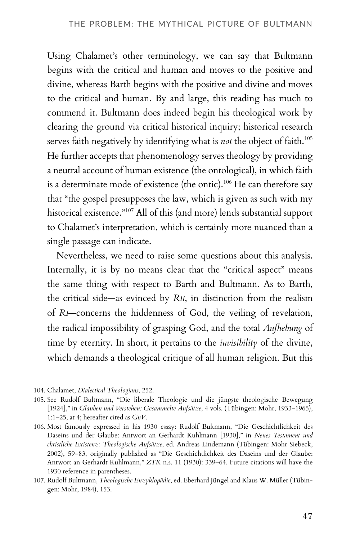Using Chalamet's other terminology, we can say that Bultmann begins with the critical and human and moves to the positive and divine, whereas Barth begins with the positive and divine and moves to the critical and human. By and large, this reading has much to commend it. Bultmann does indeed begin his theological work by clearing the ground via critical historical inquiry; historical research serves faith negatively by identifying what is *not* the object of faith.<sup>105</sup> He further accepts that phenomenology serves theology by providing a neutral account of human existence (the ontological), in which faith is a determinate mode of existence (the ontic).<sup>106</sup> He can therefore say that "the gospel presupposes the law, which is given as such with my historical existence."<sup>107</sup> All of this (and more) lends substantial support to Chalamet's interpretation, which is certainly more nuanced than a single passage can indicate.

Nevertheless, we need to raise some questions about this analysis. Internally, it is by no means clear that the "critical aspect" means the same thing with respect to Barth and Bultmann. As to Barth, the critical side—as evinced by *RII*, in distinction from the realism of *RI*—concerns the hiddenness of God, the veiling of revelation, the radical impossibility of grasping God, and the total *Aufhebung* of time by eternity. In short, it pertains to the *invisibility* of the divine, which demands a theological critique of all human religion. But this

<sup>104.</sup> Chalamet, *Dialectical Theologians*, 252.

<sup>105.</sup> See Rudolf Bultmann, "Die liberale Theologie und die jüngste theologische Bewegung [1924]," in *Glauben und Verstehen: Gesammelte Aufsätze*, 4 vols. (Tübingen: Mohr, 1933–1965), 1:1–25, at 4; hereafter cited as *GuV*.

<sup>106.</sup> Most famously expressed in his 1930 essay: Rudolf Bultmann, "Die Geschichtlichkeit des Daseins und der Glaube: Antwort an Gerhardt Kuhlmann [1930]," in *Neues Testament und christliche Existenz: Theologische Aufsätze*, ed. Andreas Lindemann (Tübingen: Mohr Siebeck, 2002), 59–83, originally published as "Die Geschichtlichkeit des Daseins und der Glaube: Antwort an Gerhardt Kuhlmann," *ZTK* n.s. 11 (1930): 339–64. Future citations will have the 1930 reference in parentheses.

<sup>107.</sup> Rudolf Bultmann, *Theologische Enzyklopädie*, ed. Eberhard Jüngel and Klaus W. Müller (Tübingen: Mohr, 1984), 153.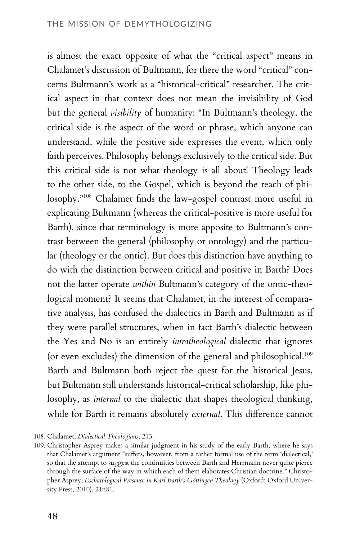is almost the exact opposite of what the "critical aspect" means in Chalamet's discussion of Bultmann, for there the word "critical" concerns Bultmann's work as a "historical-critical" researcher. The critical aspect in that context does not mean the invisibility of God but the general *visibility* of humanity: "In Bultmann's theology, the critical side is the aspect of the word or phrase, which anyone can understand, while the positive side expresses the event, which only faith perceives. Philosophy belongs exclusively to the critical side. But this critical side is not what theology is all about! Theology leads to the other side, to the Gospel, which is beyond the reach of philosophy."<sup>108</sup> Chalamet finds the law-gospel contrast more useful in explicating Bultmann (whereas the critical-positive is more useful for Barth), since that terminology is more apposite to Bultmann's contrast between the general (philosophy or ontology) and the particular (theology or the ontic). But does this distinction have anything to do with the distinction between critical and positive in Barth? Does not the latter operate *within* Bultmann's category of the ontic-theological moment? It seems that Chalamet, in the interest of comparative analysis, has confused the dialectics in Barth and Bultmann as if they were parallel structures, when in fact Barth's dialectic between the Yes and No is an entirely *intratheological* dialectic that ignores (or even excludes) the dimension of the general and philosophical.<sup>109</sup> Barth and Bultmann both reject the quest for the historical Jesus, but Bultmann still understands historical-critical scholarship, like philosophy, as *internal* to the dialectic that shapes theological thinking, while for Barth it remains absolutely *external*. This difference cannot

<sup>108.</sup> Chalamet, *Dialectical Theologians*, 213.

<sup>109.</sup> Christopher Asprey makes a similar judgment in his study of the early Barth, where he says that Chalamet's argument "suffers, however, from a rather formal use of the term 'dialectical,' so that the attempt to suggest the continuities between Barth and Herrmann never quite pierce through the surface of the way in which each of them elaborates Christian doctrine." Christopher Asprey, *Eschatological Presence in Karl Barth's Göttingen Theology* (Oxford: Oxford University Press, 2010), 21n81.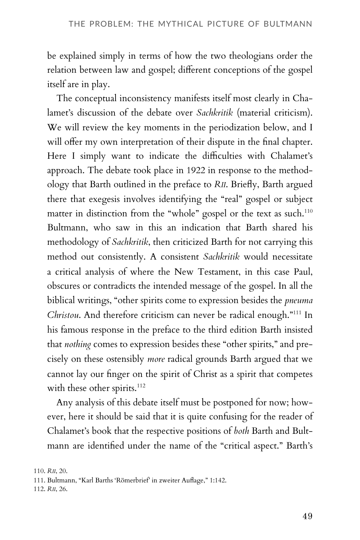be explained simply in terms of how the two theologians order the relation between law and gospel; different conceptions of the gospel itself are in play.

The conceptual inconsistency manifests itself most clearly in Chalamet's discussion of the debate over *Sachkritik* (material criticism). We will review the key moments in the periodization below, and I will offer my own interpretation of their dispute in the final chapter. Here I simply want to indicate the difficulties with Chalamet's approach. The debate took place in 1922 in response to the methodology that Barth outlined in the preface to *RII*. Briefly, Barth argued there that exegesis involves identifying the "real" gospel or subject matter in distinction from the "whole" gospel or the text as such.<sup>110</sup> Bultmann, who saw in this an indication that Barth shared his methodology of *Sachkritik*, then criticized Barth for not carrying this method out consistently. A consistent *Sachkritik* would necessitate a critical analysis of where the New Testament, in this case Paul, obscures or contradicts the intended message of the gospel. In all the biblical writings, "other spirits come to expression besides the *pneuma Christou*. And therefore criticism can never be radical enough."<sup>111</sup> In his famous response in the preface to the third edition Barth insisted that *nothing* comes to expression besides these "other spirits," and precisely on these ostensibly *more* radical grounds Barth argued that we cannot lay our finger on the spirit of Christ as a spirit that competes with these other spirits.<sup>112</sup>

Any analysis of this debate itself must be postponed for now; however, here it should be said that it is quite confusing for the reader of Chalamet's book that the respective positions of *both* Barth and Bultmann are identified under the name of the "critical aspect." Barth's

110. *RII*, 20.

112. *RII*, 26.

<sup>111.</sup> Bultmann, "Karl Barths 'Römerbrief' in zweiter Auflage," 1:142.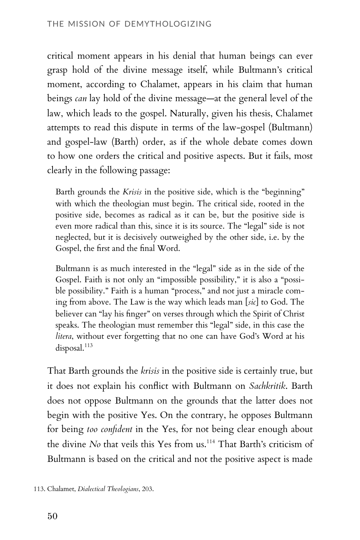critical moment appears in his denial that human beings can ever grasp hold of the divine message itself, while Bultmann's critical moment, according to Chalamet, appears in his claim that human beings *can* lay hold of the divine message—at the general level of the law, which leads to the gospel. Naturally, given his thesis, Chalamet attempts to read this dispute in terms of the law-gospel (Bultmann) and gospel-law (Barth) order, as if the whole debate comes down to how one orders the critical and positive aspects. But it fails, most clearly in the following passage:

Barth grounds the *Krisis* in the positive side, which is the "beginning" with which the theologian must begin. The critical side, rooted in the positive side, becomes as radical as it can be, but the positive side is even more radical than this, since it is its source. The "legal" side is not neglected, but it is decisively outweighed by the other side, i.e. by the Gospel, the first and the final Word.

Bultmann is as much interested in the "legal" side as in the side of the Gospel. Faith is not only an "impossible possibility," it is also a "possible possibility." Faith is a human "process," and not just a miracle coming from above. The Law is the way which leads man [*sic*] to God. The believer can "lay his finger" on verses through which the Spirit of Christ speaks. The theologian must remember this "legal" side, in this case the *litera*, without ever forgetting that no one can have God's Word at his  $disposal.<sup>113</sup>$ 

That Barth grounds the *krisis* in the positive side is certainly true, but it does not explain his conflict with Bultmann on *Sachkritik*. Barth does not oppose Bultmann on the grounds that the latter does not begin with the positive Yes. On the contrary, he opposes Bultmann for being *too confident* in the Yes, for not being clear enough about the divine *No* that veils this Yes from us.<sup>114</sup> That Barth's criticism of Bultmann is based on the critical and not the positive aspect is made

<sup>113.</sup> Chalamet, *Dialectical Theologians*, 203.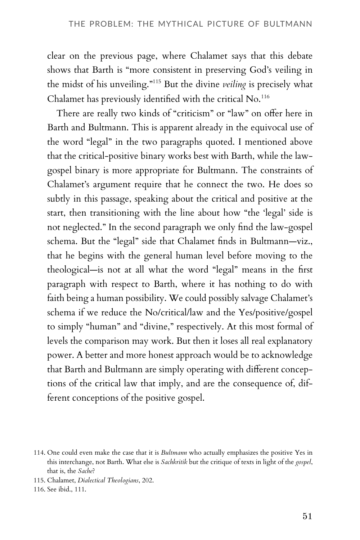clear on the previous page, where Chalamet says that this debate shows that Barth is "more consistent in preserving God's veiling in the midst of his unveiling."<sup>115</sup> But the divine *veiling* is precisely what Chalamet has previously identified with the critical No.<sup>116</sup>

There are really two kinds of "criticism" or "law" on offer here in Barth and Bultmann. This is apparent already in the equivocal use of the word "legal" in the two paragraphs quoted. I mentioned above that the critical-positive binary works best with Barth, while the lawgospel binary is more appropriate for Bultmann. The constraints of Chalamet's argument require that he connect the two. He does so subtly in this passage, speaking about the critical and positive at the start, then transitioning with the line about how "the 'legal' side is not neglected." In the second paragraph we only find the law-gospel schema. But the "legal" side that Chalamet finds in Bultmann—viz., that he begins with the general human level before moving to the theological—is not at all what the word "legal" means in the first paragraph with respect to Barth, where it has nothing to do with faith being a human possibility. We could possibly salvage Chalamet's schema if we reduce the No/critical/law and the Yes/positive/gospel to simply "human" and "divine," respectively. At this most formal of levels the comparison may work. But then it loses all real explanatory power. A better and more honest approach would be to acknowledge that Barth and Bultmann are simply operating with different conceptions of the critical law that imply, and are the consequence of, different conceptions of the positive gospel.

<sup>114.</sup> One could even make the case that it is *Bultmann* who actually emphasizes the positive Yes in this interchange, not Barth. What else is *Sachkritik* but the critique of texts in light of the *gospel*, that is, the *Sache*?

<sup>115.</sup> Chalamet, *Dialectical Theologians*, 202.

<sup>116.</sup> See ibid., 111.